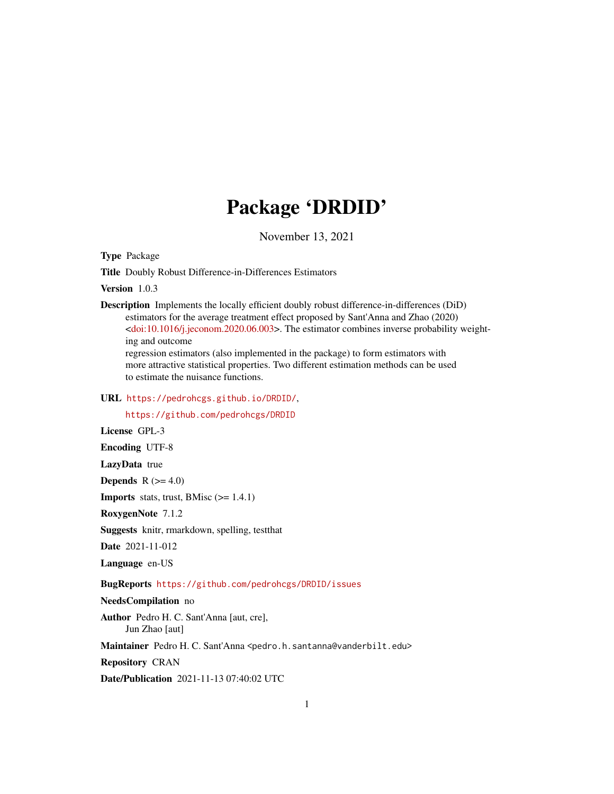## Package 'DRDID'

November 13, 2021

Type Package

Title Doubly Robust Difference-in-Differences Estimators

Version 1.0.3

Description Implements the locally efficient doubly robust difference-in-differences (DiD) estimators for the average treatment effect proposed by Sant'Anna and Zhao (2020) [<doi:10.1016/j.jeconom.2020.06.003>](https://doi.org/10.1016/j.jeconom.2020.06.003). The estimator combines inverse probability weighting and outcome

regression estimators (also implemented in the package) to form estimators with more attractive statistical properties. Two different estimation methods can be used to estimate the nuisance functions.

URL <https://pedrohcgs.github.io/DRDID/>,

<https://github.com/pedrohcgs/DRDID>

License GPL-3

Encoding UTF-8

LazyData true

Depends  $R$  ( $>= 4.0$ )

**Imports** stats, trust, BMisc  $(>= 1.4.1)$ 

RoxygenNote 7.1.2

Suggests knitr, rmarkdown, spelling, testthat

Date 2021-11-012

Language en-US

BugReports <https://github.com/pedrohcgs/DRDID/issues>

## NeedsCompilation no

Author Pedro H. C. Sant'Anna [aut, cre], Jun Zhao [aut]

Maintainer Pedro H. C. Sant'Anna <pedro.h.santanna@vanderbilt.edu>

Repository CRAN

Date/Publication 2021-11-13 07:40:02 UTC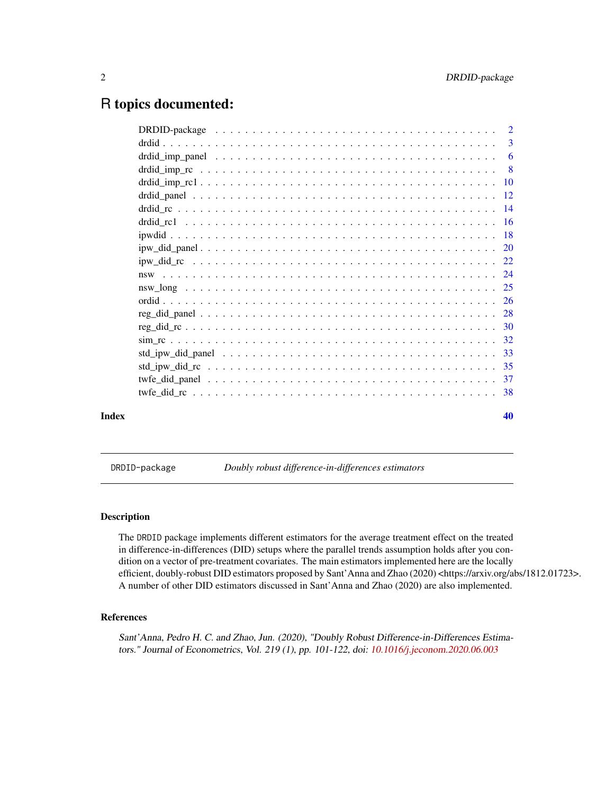## <span id="page-1-0"></span>R topics documented:

| Index | 40 |
|-------|----|
|       |    |
|       |    |
|       |    |
|       |    |
|       |    |
|       |    |
|       |    |
|       |    |
|       |    |
|       |    |
|       |    |
|       |    |
|       |    |
|       |    |
|       |    |
|       |    |
|       |    |
|       |    |
|       |    |
|       | 3  |
|       |    |

DRDID-package *Doubly robust difference-in-differences estimators*

#### Description

The DRDID package implements different estimators for the average treatment effect on the treated in difference-in-differences (DID) setups where the parallel trends assumption holds after you condition on a vector of pre-treatment covariates. The main estimators implemented here are the locally efficient, doubly-robust DID estimators proposed by Sant'Anna and Zhao (2020) <https://arxiv.org/abs/1812.01723>. A number of other DID estimators discussed in Sant'Anna and Zhao (2020) are also implemented.

## References

Sant'Anna, Pedro H. C. and Zhao, Jun. (2020), "Doubly Robust Difference-in-Differences Estimators." Journal of Econometrics, Vol. 219 (1), pp. 101-122, doi: [10.1016/j.jeconom.2020.06.003](https://doi.org/10.1016/j.jeconom.2020.06.003)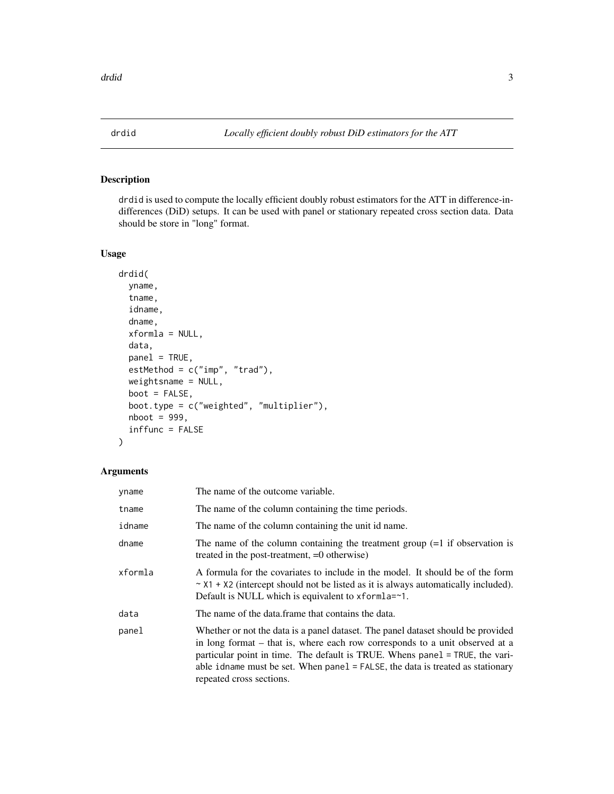<span id="page-2-0"></span>

## Description

drdid is used to compute the locally efficient doubly robust estimators for the ATT in difference-indifferences (DiD) setups. It can be used with panel or stationary repeated cross section data. Data should be store in "long" format.

## Usage

```
drdid(
  yname,
  tname,
  idname,
  dname,
  xformla = NULL,
  data,
 panel = TRUE,
  estMethod = c("imp", "trad"),
 weightsname = NULL,
 boot = FALSE,boot.type = c("weighted", "multiplier"),
  nboot = 999,inffunc = FALSE
)
```
#### Arguments

| yname   | The name of the outcome variable.                                                                                                                                                                                                                                                                                                                                 |
|---------|-------------------------------------------------------------------------------------------------------------------------------------------------------------------------------------------------------------------------------------------------------------------------------------------------------------------------------------------------------------------|
| tname   | The name of the column containing the time periods.                                                                                                                                                                                                                                                                                                               |
| idname  | The name of the column containing the unit id name.                                                                                                                                                                                                                                                                                                               |
| dname   | The name of the column containing the treatment group $(=1$ if observation is<br>treated in the post-treatment, =0 otherwise)                                                                                                                                                                                                                                     |
| xformla | A formula for the covariates to include in the model. It should be of the form<br>$\sim$ X1 + X2 (intercept should not be listed as it is always automatically included).<br>Default is NULL which is equivalent to $x$ form $a = -1$ .                                                                                                                           |
| data    | The name of the data frame that contains the data.                                                                                                                                                                                                                                                                                                                |
| panel   | Whether or not the data is a panel dataset. The panel dataset should be provided<br>in long format – that is, where each row corresponds to a unit observed at a<br>particular point in time. The default is TRUE. Whens panel = TRUE, the vari-<br>able idname must be set. When $panel = FALSE$ , the data is treated as stationary<br>repeated cross sections. |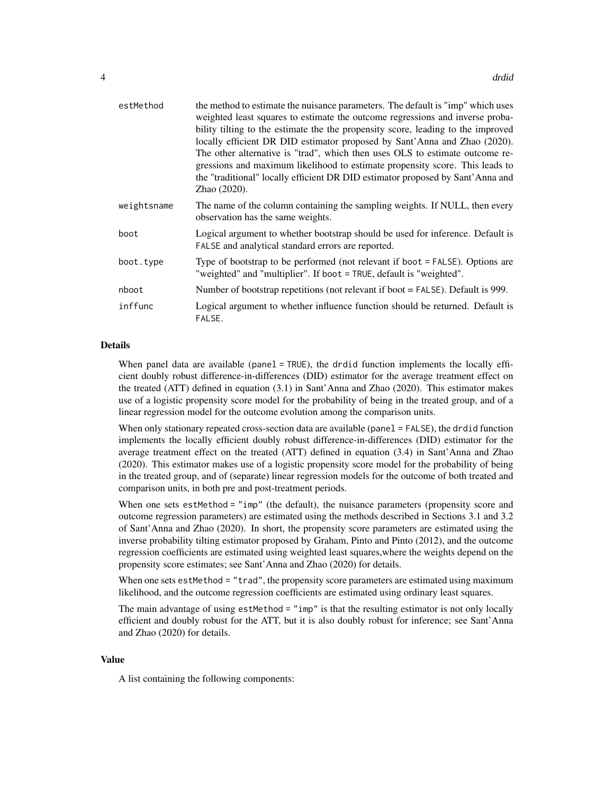| estMethod   | the method to estimate the nuisance parameters. The default is "imp" which uses<br>weighted least squares to estimate the outcome regressions and inverse proba-<br>bility tilting to the estimate the the propensity score, leading to the improved<br>locally efficient DR DID estimator proposed by Sant'Anna and Zhao (2020).<br>The other alternative is "trad", which then uses OLS to estimate outcome re-<br>gressions and maximum likelihood to estimate propensity score. This leads to<br>the "traditional" locally efficient DR DID estimator proposed by Sant'Anna and<br>Zhao (2020). |
|-------------|-----------------------------------------------------------------------------------------------------------------------------------------------------------------------------------------------------------------------------------------------------------------------------------------------------------------------------------------------------------------------------------------------------------------------------------------------------------------------------------------------------------------------------------------------------------------------------------------------------|
| weightsname | The name of the column containing the sampling weights. If NULL, then every<br>observation has the same weights.                                                                                                                                                                                                                                                                                                                                                                                                                                                                                    |
| boot        | Logical argument to whether bootstrap should be used for inference. Default is<br>FALSE and analytical standard errors are reported.                                                                                                                                                                                                                                                                                                                                                                                                                                                                |
| boot.type   | Type of bootstrap to be performed (not relevant if boot = FALSE). Options are<br>"weighted" and "multiplier". If boot = TRUE, default is "weighted".                                                                                                                                                                                                                                                                                                                                                                                                                                                |
| nboot       | Number of bootstrap repetitions (not relevant if boot $=$ FALSE). Default is 999.                                                                                                                                                                                                                                                                                                                                                                                                                                                                                                                   |
| inffunc     | Logical argument to whether influence function should be returned. Default is<br>FALSE.                                                                                                                                                                                                                                                                                                                                                                                                                                                                                                             |

### Details

When panel data are available (panel = TRUE), the drdid function implements the locally efficient doubly robust difference-in-differences (DID) estimator for the average treatment effect on the treated (ATT) defined in equation (3.1) in Sant'Anna and Zhao (2020). This estimator makes use of a logistic propensity score model for the probability of being in the treated group, and of a linear regression model for the outcome evolution among the comparison units.

When only stationary repeated cross-section data are available (panel = FALSE), the drdid function implements the locally efficient doubly robust difference-in-differences (DID) estimator for the average treatment effect on the treated (ATT) defined in equation (3.4) in Sant'Anna and Zhao (2020). This estimator makes use of a logistic propensity score model for the probability of being in the treated group, and of (separate) linear regression models for the outcome of both treated and comparison units, in both pre and post-treatment periods.

When one sets estMethod = "imp" (the default), the nuisance parameters (propensity score and outcome regression parameters) are estimated using the methods described in Sections 3.1 and 3.2 of Sant'Anna and Zhao (2020). In short, the propensity score parameters are estimated using the inverse probability tilting estimator proposed by Graham, Pinto and Pinto (2012), and the outcome regression coefficients are estimated using weighted least squares,where the weights depend on the propensity score estimates; see Sant'Anna and Zhao (2020) for details.

When one sets estMethod = "trad", the propensity score parameters are estimated using maximum likelihood, and the outcome regression coefficients are estimated using ordinary least squares.

The main advantage of using estMethod  $=$  "imp" is that the resulting estimator is not only locally efficient and doubly robust for the ATT, but it is also doubly robust for inference; see Sant'Anna and Zhao (2020) for details.

#### Value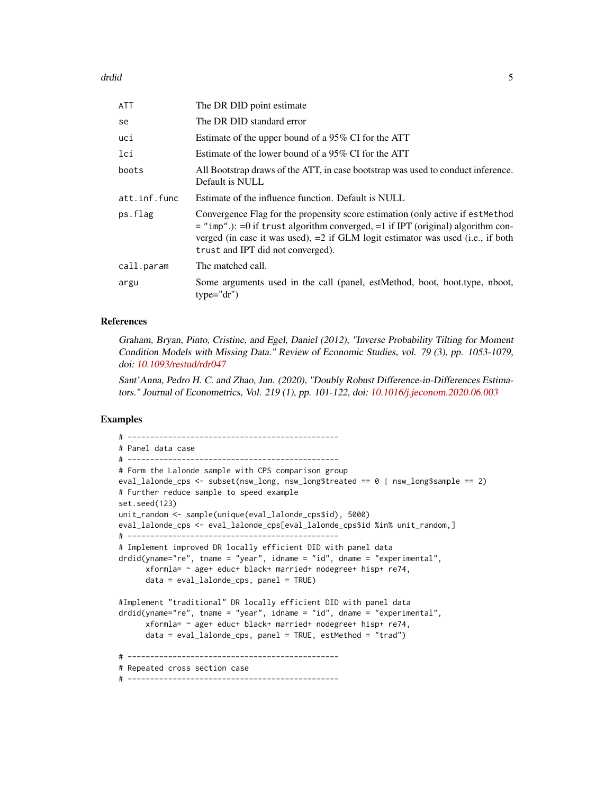drdid 55 and 55 and 55 and 55 and 55 and 55 and 55 and 55 and 55 and 55 and 55 and 55 and 55 and 55 and 55 and 55 and 55 and 55 and 55 and 55 and 55 and 55 and 55 and 55 and 55 and 55 and 55 and 55 and 55 and 55 and 55 and

| <b>ATT</b>   | The DR DID point estimate                                                                                                                                                                                                                                                                        |
|--------------|--------------------------------------------------------------------------------------------------------------------------------------------------------------------------------------------------------------------------------------------------------------------------------------------------|
| se           | The DR DID standard error                                                                                                                                                                                                                                                                        |
| uci          | Estimate of the upper bound of a 95% CI for the ATT                                                                                                                                                                                                                                              |
| lci          | Estimate of the lower bound of a 95% CI for the ATT                                                                                                                                                                                                                                              |
| boots        | All Bootstrap draws of the ATT, in case bootstrap was used to conduct inference.<br>Default is NULL                                                                                                                                                                                              |
| att.inf.func | Estimate of the influence function. Default is NULL                                                                                                                                                                                                                                              |
| ps.flag      | Convergence Flag for the propensity score estimation (only active if est Method<br>$=$ "imp".): = 0 if trust algorithm converged, = 1 if IPT (original) algorithm con-<br>verged (in case it was used), $=2$ if GLM logit estimator was used (i.e., if both<br>trust and IPT did not converged). |
| call.param   | The matched call.                                                                                                                                                                                                                                                                                |
| argu         | Some arguments used in the call (panel, estMethod, boot, boot.type, nboot,<br>$type="dr")$                                                                                                                                                                                                       |

#### References

Graham, Bryan, Pinto, Cristine, and Egel, Daniel (2012), "Inverse Probability Tilting for Moment Condition Models with Missing Data." Review of Economic Studies, vol. 79 (3), pp. 1053-1079, doi: [10.1093/restud/rdr047](https://doi.org/10.1093/restud/rdr047)

Sant'Anna, Pedro H. C. and Zhao, Jun. (2020), "Doubly Robust Difference-in-Differences Estimators." Journal of Econometrics, Vol. 219 (1), pp. 101-122, doi: [10.1016/j.jeconom.2020.06.003](https://doi.org/10.1016/j.jeconom.2020.06.003)

### Examples

```
# -----------------------------------------------
# Panel data case
# -----------------------------------------------
# Form the Lalonde sample with CPS comparison group
eval_lalonde_cps <- subset(nsw_long, nsw_long$treated == 0 | nsw_long$sample == 2)
# Further reduce sample to speed example
set.seed(123)
unit_random <- sample(unique(eval_lalonde_cps$id), 5000)
eval_lalonde_cps <- eval_lalonde_cps[eval_lalonde_cps$id %in% unit_random,]
# -----------------------------------------------
# Implement improved DR locally efficient DID with panel data
drdid(yname="re", tname = "year", idname = "id", dname = "experimental",
     xformla= ~ age+ educ+ black+ married+ nodegree+ hisp+ re74,
     data = eval_lalonde_cps, panel = TRUE)
#Implement "traditional" DR locally efficient DID with panel data
drdid(yname="re", tname = "year", idname = "id", dname = "experimental",
      xformla= ~ age+ educ+ black+ married+ nodegree+ hisp+ re74,
      data = eval_lalonde_cps, panel = TRUE, estMethod = "trad")
# -----------------------------------------------
# Repeated cross section case
# -----------------------------------------------
```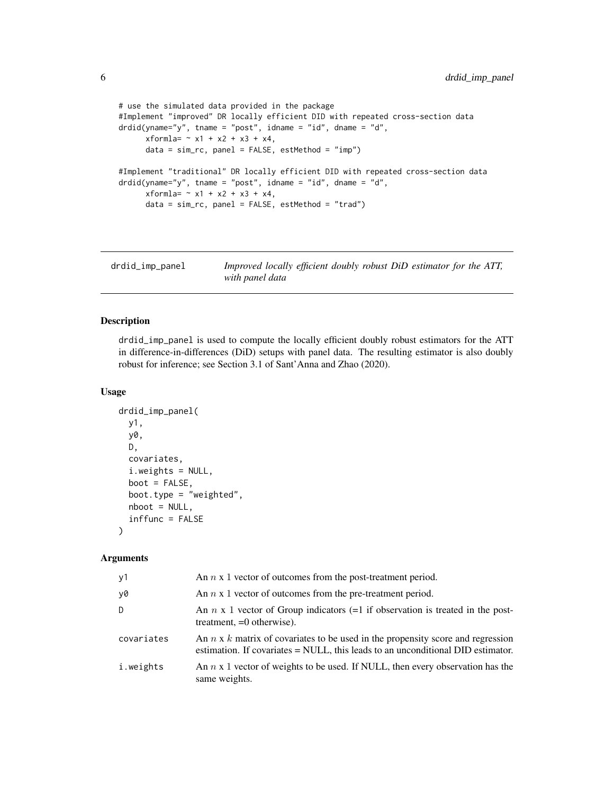```
# use the simulated data provided in the package
#Implement "improved" DR locally efficient DID with repeated cross-section data
drdid(yname="y", tname = "post", idname = "id", dname = "d",
     xformla = -x1 + x2 + x3 + x4,data = sim\_rc, panel = FALSE, estMethod = "imp")#Implement "traditional" DR locally efficient DID with repeated cross-section data
drdid(yname="y", tname = "post", idname = "id", dname = "d",
     xformla = -x1 + x2 + x3 + x4,data = sim\_rc, panel = FALSE, estMethod = "trad")
```
drdid\_imp\_panel *Improved locally efficient doubly robust DiD estimator for the ATT, with panel data*

## Description

drdid\_imp\_panel is used to compute the locally efficient doubly robust estimators for the ATT in difference-in-differences (DiD) setups with panel data. The resulting estimator is also doubly robust for inference; see Section 3.1 of Sant'Anna and Zhao (2020).

## Usage

```
drdid_imp_panel(
  y1,
  y0,
  D,
  covariates,
  i.weights = NULL,
  boot = FALSE,
  boot.type = "weighted",
  nboot = NULL,inffunc = FALSE
\lambda
```
#### Arguments

| у1         | An $n \times 1$ vector of outcomes from the post-treatment period.                                                                                                          |
|------------|-----------------------------------------------------------------------------------------------------------------------------------------------------------------------------|
| y0         | An $n \times 1$ vector of outcomes from the pre-treatment period.                                                                                                           |
| D          | An $n \times 1$ vector of Group indicators (=1 if observation is treated in the post-<br>treatment, $=0$ otherwise).                                                        |
| covariates | An $n \times k$ matrix of covariates to be used in the propensity score and regression<br>estimation. If covariates $=$ NULL, this leads to an unconditional DID estimator. |
| i.weights  | An $n \times 1$ vector of weights to be used. If NULL, then every observation has the<br>same weights.                                                                      |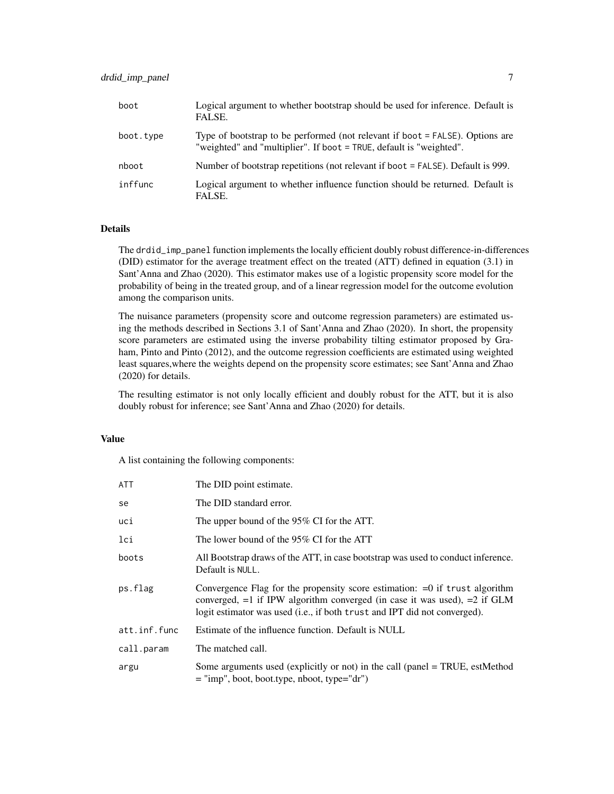| boot      | Logical argument to whether bootstrap should be used for inference. Default is<br>FALSE.                                                             |
|-----------|------------------------------------------------------------------------------------------------------------------------------------------------------|
| boot.type | Type of bootstrap to be performed (not relevant if boot = FALSE). Options are<br>"weighted" and "multiplier". If boot = TRUE, default is "weighted". |
| nboot     | Number of bootstrap repetitions (not relevant if boot = FALSE). Default is 999.                                                                      |
| inffunc   | Logical argument to whether influence function should be returned. Default is<br>FALSE.                                                              |

## Details

The drdid\_imp\_panel function implements the locally efficient doubly robust difference-in-differences (DID) estimator for the average treatment effect on the treated (ATT) defined in equation (3.1) in Sant'Anna and Zhao (2020). This estimator makes use of a logistic propensity score model for the probability of being in the treated group, and of a linear regression model for the outcome evolution among the comparison units.

The nuisance parameters (propensity score and outcome regression parameters) are estimated using the methods described in Sections 3.1 of Sant'Anna and Zhao (2020). In short, the propensity score parameters are estimated using the inverse probability tilting estimator proposed by Graham, Pinto and Pinto (2012), and the outcome regression coefficients are estimated using weighted least squares,where the weights depend on the propensity score estimates; see Sant'Anna and Zhao (2020) for details.

The resulting estimator is not only locally efficient and doubly robust for the ATT, but it is also doubly robust for inference; see Sant'Anna and Zhao (2020) for details.

#### Value

| ATT          | The DID point estimate.                                                                                                                                                                                                                     |
|--------------|---------------------------------------------------------------------------------------------------------------------------------------------------------------------------------------------------------------------------------------------|
| se           | The DID standard error.                                                                                                                                                                                                                     |
| uci          | The upper bound of the 95% CI for the ATT.                                                                                                                                                                                                  |
| lci          | The lower bound of the 95% CI for the ATT                                                                                                                                                                                                   |
| boots        | All Bootstrap draws of the ATT, in case bootstrap was used to conduct inference.<br>Default is NULL.                                                                                                                                        |
| ps.flag      | Convergence Flag for the propensity score estimation: $=0$ if trust algorithm<br>converged, $=1$ if IPW algorithm converged (in case it was used), $=2$ if GLM<br>logit estimator was used (i.e., if both trust and IPT did not converged). |
| att.inf.func | Estimate of the influence function. Default is NULL                                                                                                                                                                                         |
| call.param   | The matched call.                                                                                                                                                                                                                           |
| argu         | Some arguments used (explicitly or not) in the call (panel $=$ TRUE, estMethod<br>$=$ "imp", boot, boot.type, nboot, type="dr")                                                                                                             |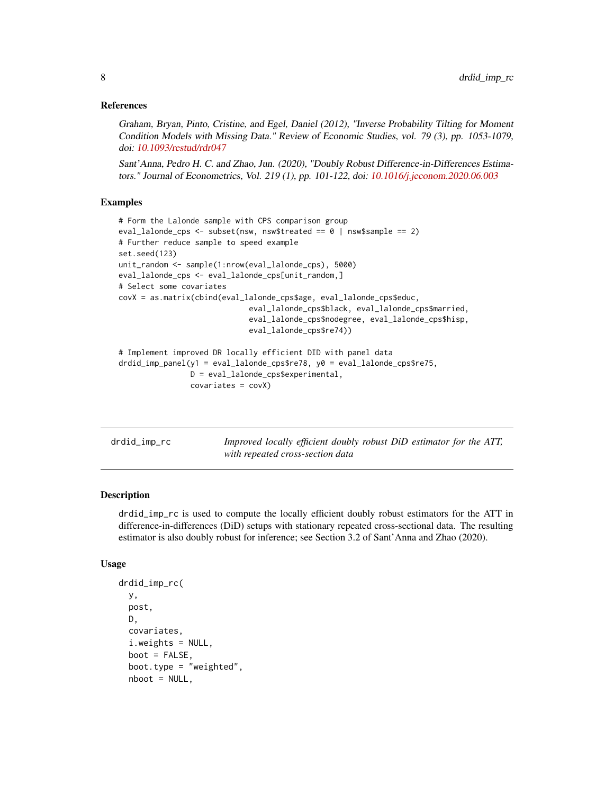<span id="page-7-0"></span>Graham, Bryan, Pinto, Cristine, and Egel, Daniel (2012), "Inverse Probability Tilting for Moment Condition Models with Missing Data." Review of Economic Studies, vol. 79 (3), pp. 1053-1079, doi: [10.1093/restud/rdr047](https://doi.org/10.1093/restud/rdr047)

Sant'Anna, Pedro H. C. and Zhao, Jun. (2020), "Doubly Robust Difference-in-Differences Estimators." Journal of Econometrics, Vol. 219 (1), pp. 101-122, doi: [10.1016/j.jeconom.2020.06.003](https://doi.org/10.1016/j.jeconom.2020.06.003)

### Examples

```
# Form the Lalonde sample with CPS comparison group
eval_lalonde_cps <- subset(nsw, nsw$treated == 0 | nsw$sample == 2)
# Further reduce sample to speed example
set.seed(123)
unit_random <- sample(1:nrow(eval_lalonde_cps), 5000)
eval_lalonde_cps <- eval_lalonde_cps[unit_random,]
# Select some covariates
covX = as.matrix(cbind(eval_lalonde_cps$age, eval_lalonde_cps$educ,
                             eval_lalonde_cps$black, eval_lalonde_cps$married,
                             eval_lalonde_cps$nodegree, eval_lalonde_cps$hisp,
                             eval_lalonde_cps$re74))
# Implement improved DR locally efficient DID with panel data
drdid_imp_panel(y1 = eval_lalonde_cps$re78, y0 = eval_lalonde_cps$re75,
                D = eval_lalonde_cps$experimental,
                covariates = covX)
```
drdid\_imp\_rc *Improved locally efficient doubly robust DiD estimator for the ATT, with repeated cross-section data*

## Description

drdid\_imp\_rc is used to compute the locally efficient doubly robust estimators for the ATT in difference-in-differences (DiD) setups with stationary repeated cross-sectional data. The resulting estimator is also doubly robust for inference; see Section 3.2 of Sant'Anna and Zhao (2020).

#### Usage

```
drdid_imp_rc(
 y,
  post,
 D,
  covariates,
  i.weights = NULL,
  boot = FALSE,boot.type = "weighted",nboot = NULL,
```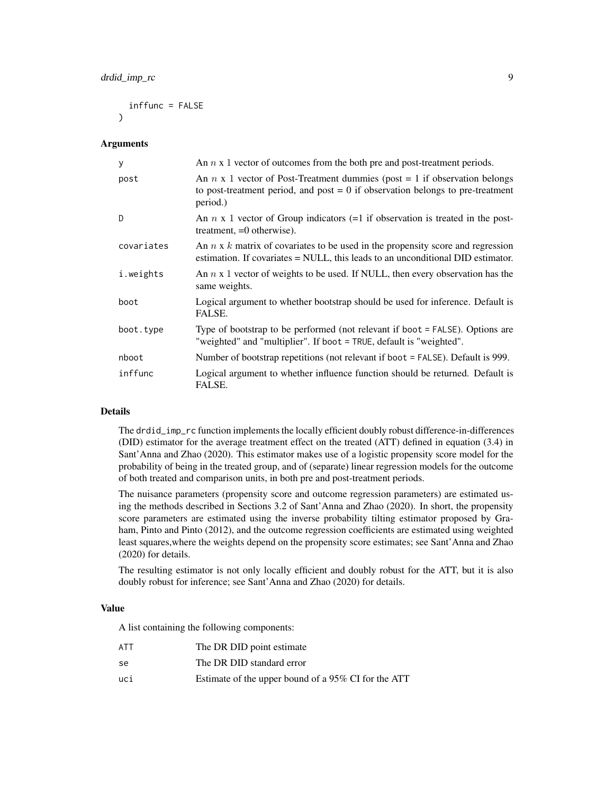```
inffunc = FALSE
\lambda
```
#### Arguments

| У          | An $n \times 1$ vector of outcomes from the both pre and post-treatment periods.                                                                                                  |
|------------|-----------------------------------------------------------------------------------------------------------------------------------------------------------------------------------|
| post       | An $n \times 1$ vector of Post-Treatment dummies (post = 1 if observation belongs<br>to post-treatment period, and post $= 0$ if observation belongs to pre-treatment<br>period.) |
| D          | An $n \times 1$ vector of Group indicators (=1 if observation is treated in the post-<br>treatment, $=0$ otherwise).                                                              |
| covariates | An $n \times k$ matrix of covariates to be used in the propensity score and regression<br>estimation. If covariates $=$ NULL, this leads to an unconditional DID estimator.       |
| i.weights  | An $n \times 1$ vector of weights to be used. If NULL, then every observation has the<br>same weights.                                                                            |
| boot       | Logical argument to whether bootstrap should be used for inference. Default is<br>FALSE.                                                                                          |
| boot.type  | Type of bootstrap to be performed (not relevant if boot = FALSE). Options are<br>"weighted" and "multiplier". If boot = TRUE, default is "weighted".                              |
| nboot      | Number of bootstrap repetitions (not relevant if boot = FALSE). Default is 999.                                                                                                   |
| inffunc    | Logical argument to whether influence function should be returned. Default is<br>FALSE.                                                                                           |

## Details

The drdid\_imp\_rc function implements the locally efficient doubly robust difference-in-differences (DID) estimator for the average treatment effect on the treated (ATT) defined in equation (3.4) in Sant'Anna and Zhao (2020). This estimator makes use of a logistic propensity score model for the probability of being in the treated group, and of (separate) linear regression models for the outcome of both treated and comparison units, in both pre and post-treatment periods.

The nuisance parameters (propensity score and outcome regression parameters) are estimated using the methods described in Sections 3.2 of Sant'Anna and Zhao (2020). In short, the propensity score parameters are estimated using the inverse probability tilting estimator proposed by Graham, Pinto and Pinto (2012), and the outcome regression coefficients are estimated using weighted least squares,where the weights depend on the propensity score estimates; see Sant'Anna and Zhao (2020) for details.

The resulting estimator is not only locally efficient and doubly robust for the ATT, but it is also doubly robust for inference; see Sant'Anna and Zhao (2020) for details.

#### Value

| <b>ATT</b> | The DR DID point estimate                           |
|------------|-----------------------------------------------------|
| se         | The DR DID standard error                           |
| uci        | Estimate of the upper bound of a 95% CI for the ATT |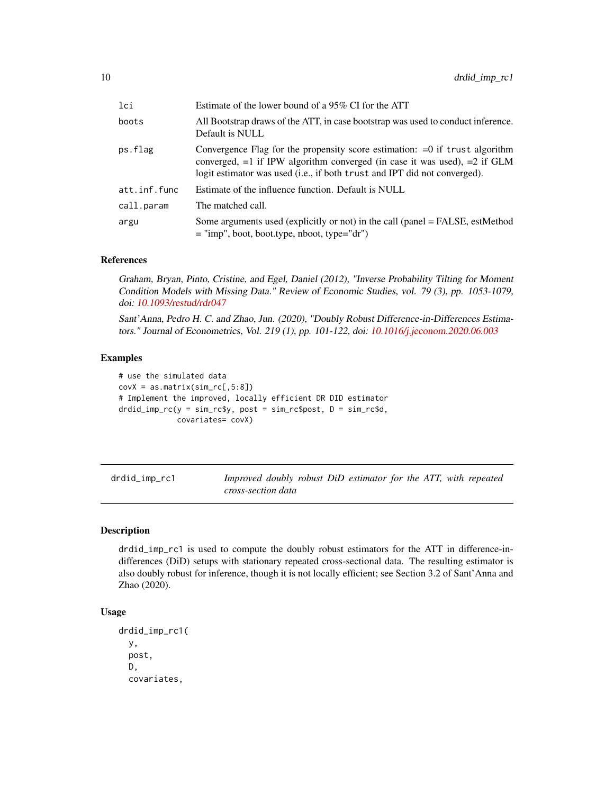<span id="page-9-0"></span>

| lci          | Estimate of the lower bound of a 95% CI for the ATT                                                                                                                                                                                         |
|--------------|---------------------------------------------------------------------------------------------------------------------------------------------------------------------------------------------------------------------------------------------|
| boots        | All Bootstrap draws of the ATT, in case bootstrap was used to conduct inference.<br>Default is NULL                                                                                                                                         |
| ps.flag      | Convergence Flag for the propensity score estimation: $=0$ if trust algorithm<br>converged, $=1$ if IPW algorithm converged (in case it was used), $=2$ if GLM<br>logit estimator was used (i.e., if both trust and IPT did not converged). |
| att.inf.func | Estimate of the influence function. Default is NULL                                                                                                                                                                                         |
| call.param   | The matched call.                                                                                                                                                                                                                           |
| argu         | Some arguments used (explicitly or not) in the call (panel = FALSE, estMethod<br>$=$ "imp", boot, boot.type, nboot, type="dr")                                                                                                              |

Graham, Bryan, Pinto, Cristine, and Egel, Daniel (2012), "Inverse Probability Tilting for Moment Condition Models with Missing Data." Review of Economic Studies, vol. 79 (3), pp. 1053-1079, doi: [10.1093/restud/rdr047](https://doi.org/10.1093/restud/rdr047)

Sant'Anna, Pedro H. C. and Zhao, Jun. (2020), "Doubly Robust Difference-in-Differences Estimators." Journal of Econometrics, Vol. 219 (1), pp. 101-122, doi: [10.1016/j.jeconom.2020.06.003](https://doi.org/10.1016/j.jeconom.2020.06.003)

## Examples

```
# use the simulated data
covX = as.matrix(sin\_rc[, 5:8])# Implement the improved, locally efficient DR DID estimator
drdid_imp_rc(y = sim_rc$y, post = sim_rc$post, D = sim_rc$d,
             covariates= covX)
```

| drdid_imp_rc1 | Improved doubly robust DiD estimator for the ATT, with repeated |  |  |  |
|---------------|-----------------------------------------------------------------|--|--|--|
|               | cross-section data                                              |  |  |  |

### Description

drdid\_imp\_rc1 is used to compute the doubly robust estimators for the ATT in difference-indifferences (DiD) setups with stationary repeated cross-sectional data. The resulting estimator is also doubly robust for inference, though it is not locally efficient; see Section 3.2 of Sant'Anna and Zhao (2020).

## Usage

```
drdid_imp_rc1(
 y,
 post,
 D,
  covariates,
```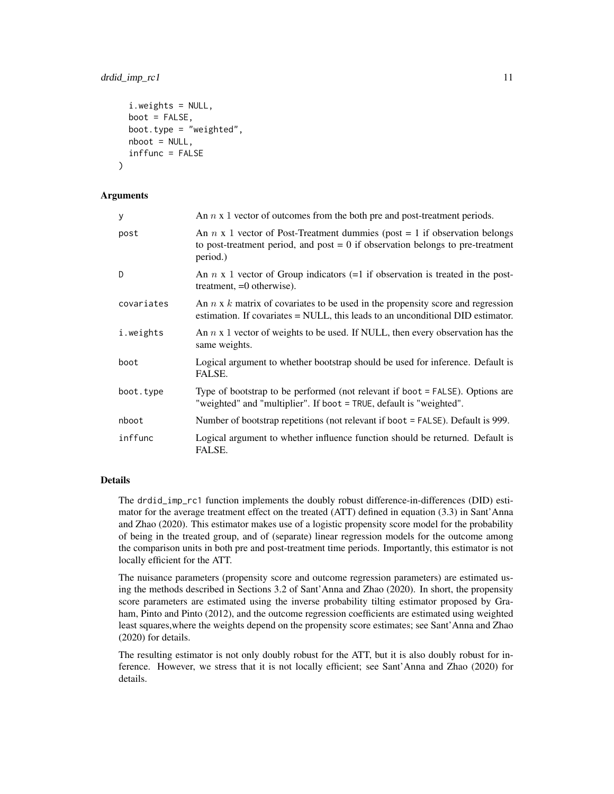## drdid\_imp\_rc1 11

```
i.weights = NULL,
  boot = FALSE,
 boot.type = "weighted",
 nboot = NULL,inffunc = FALSE
)
```
#### Arguments

| y          | An $n \times 1$ vector of outcomes from the both pre and post-treatment periods.                                                                                                  |
|------------|-----------------------------------------------------------------------------------------------------------------------------------------------------------------------------------|
| post       | An $n \times 1$ vector of Post-Treatment dummies (post = 1 if observation belongs<br>to post-treatment period, and post $= 0$ if observation belongs to pre-treatment<br>period.) |
| D          | An $n \times 1$ vector of Group indicators (=1 if observation is treated in the post-<br>treatment, $=0$ otherwise).                                                              |
| covariates | An $n \times k$ matrix of covariates to be used in the propensity score and regression<br>estimation. If covariates $=$ NULL, this leads to an unconditional DID estimator.       |
| i.weights  | An $n \times 1$ vector of weights to be used. If NULL, then every observation has the<br>same weights.                                                                            |
| boot       | Logical argument to whether bootstrap should be used for inference. Default is<br>FALSE.                                                                                          |
| boot.type  | Type of bootstrap to be performed (not relevant if boot = FALSE). Options are<br>"weighted" and "multiplier". If boot = TRUE, default is "weighted".                              |
| nboot      | Number of bootstrap repetitions (not relevant if boot = FALSE). Default is 999.                                                                                                   |
| inffunc    | Logical argument to whether influence function should be returned. Default is<br>FALSE.                                                                                           |

#### Details

The drdid\_imp\_rc1 function implements the doubly robust difference-in-differences (DID) estimator for the average treatment effect on the treated (ATT) defined in equation (3.3) in Sant'Anna and Zhao (2020). This estimator makes use of a logistic propensity score model for the probability of being in the treated group, and of (separate) linear regression models for the outcome among the comparison units in both pre and post-treatment time periods. Importantly, this estimator is not locally efficient for the ATT.

The nuisance parameters (propensity score and outcome regression parameters) are estimated using the methods described in Sections 3.2 of Sant'Anna and Zhao (2020). In short, the propensity score parameters are estimated using the inverse probability tilting estimator proposed by Graham, Pinto and Pinto (2012), and the outcome regression coefficients are estimated using weighted least squares,where the weights depend on the propensity score estimates; see Sant'Anna and Zhao (2020) for details.

The resulting estimator is not only doubly robust for the ATT, but it is also doubly robust for inference. However, we stress that it is not locally efficient; see Sant'Anna and Zhao (2020) for details.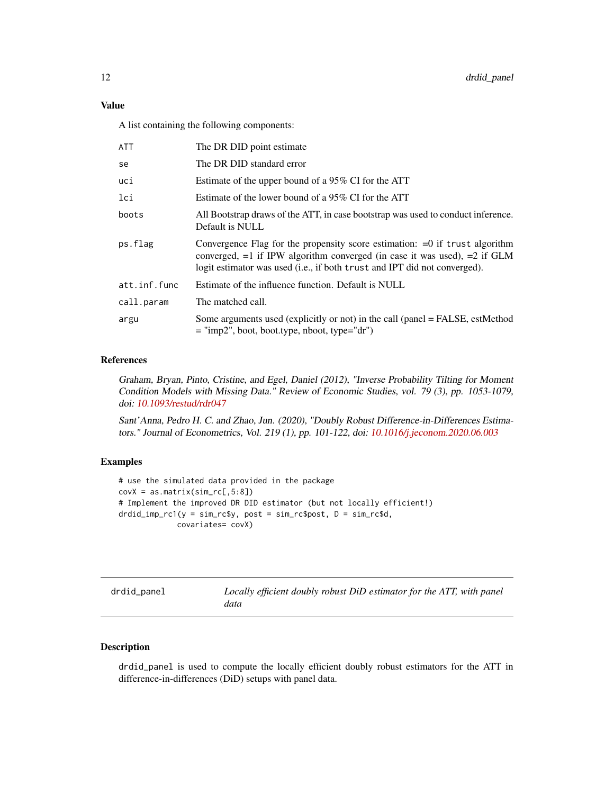## <span id="page-11-0"></span>Value

A list containing the following components:

| ATT          | The DR DID point estimate                                                                                                                                                                                                                   |
|--------------|---------------------------------------------------------------------------------------------------------------------------------------------------------------------------------------------------------------------------------------------|
| se           | The DR DID standard error                                                                                                                                                                                                                   |
| uci          | Estimate of the upper bound of a 95% CI for the ATT                                                                                                                                                                                         |
| lci          | Estimate of the lower bound of a 95% CI for the ATT                                                                                                                                                                                         |
| boots        | All Bootstrap draws of the ATT, in case bootstrap was used to conduct inference.<br>Default is NULL                                                                                                                                         |
| ps.flag      | Convergence Flag for the propensity score estimation: $=0$ if trust algorithm<br>converged, $=1$ if IPW algorithm converged (in case it was used), $=2$ if GLM<br>logit estimator was used (i.e., if both trust and IPT did not converged). |
| att.inf.func | Estimate of the influence function. Default is NULL                                                                                                                                                                                         |
| call.param   | The matched call.                                                                                                                                                                                                                           |
| argu         | Some arguments used (explicitly or not) in the call (panel = FALSE, estMethod<br>$=$ "imp2", boot, boot.type, nboot, type="dr")                                                                                                             |

#### References

Graham, Bryan, Pinto, Cristine, and Egel, Daniel (2012), "Inverse Probability Tilting for Moment Condition Models with Missing Data." Review of Economic Studies, vol. 79 (3), pp. 1053-1079, doi: [10.1093/restud/rdr047](https://doi.org/10.1093/restud/rdr047)

Sant'Anna, Pedro H. C. and Zhao, Jun. (2020), "Doubly Robust Difference-in-Differences Estimators." Journal of Econometrics, Vol. 219 (1), pp. 101-122, doi: [10.1016/j.jeconom.2020.06.003](https://doi.org/10.1016/j.jeconom.2020.06.003)

## Examples

```
# use the simulated data provided in the package
covX = as_matrix(sim\_rc[, 5:8])# Implement the improved DR DID estimator (but not locally efficient!)
drdid_imp_rc1(y = sim_rc$y, post = sim_rc$post, D = sim_rc$d,
             covariates= covX)
```

| drdid_panel |
|-------------|
|-------------|

Locally efficient doubly robust DiD estimator for the ATT, with panel *data*

## Description

drdid\_panel is used to compute the locally efficient doubly robust estimators for the ATT in difference-in-differences (DiD) setups with panel data.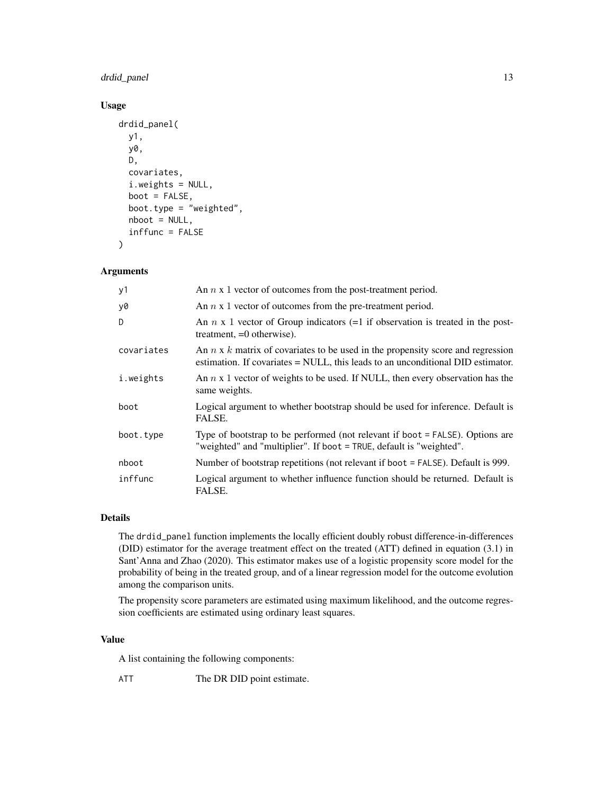## drdid\_panel 13

## Usage

```
drdid_panel(
 y1,
 y0,
 D,
  covariates,
  i.weights = NULL,
 boot = FALSE,boot.type = "weighted",
  nboot = NULL,inffunc = FALSE
)
```
## Arguments

| y1         | An $n \times 1$ vector of outcomes from the post-treatment period.                                                                                                        |
|------------|---------------------------------------------------------------------------------------------------------------------------------------------------------------------------|
| y0         | An $n \times 1$ vector of outcomes from the pre-treatment period.                                                                                                         |
| D          | An $n \times 1$ vector of Group indicators (=1 if observation is treated in the post-<br>treatment, $=0$ otherwise).                                                      |
| covariates | An $n \times k$ matrix of covariates to be used in the propensity score and regression<br>estimation. If covariates = NULL, this leads to an unconditional DID estimator. |
| i.weights  | An $n \times 1$ vector of weights to be used. If NULL, then every observation has the<br>same weights.                                                                    |
| boot       | Logical argument to whether bootstrap should be used for inference. Default is<br>FALSE.                                                                                  |
| boot.type  | Type of bootstrap to be performed (not relevant if boot = FALSE). Options are<br>"weighted" and "multiplier". If boot = TRUE, default is "weighted".                      |
| nboot      | Number of bootstrap repetitions (not relevant if boot = FALSE). Default is 999.                                                                                           |
| inffunc    | Logical argument to whether influence function should be returned. Default is<br>FALSE.                                                                                   |

## Details

The drdid\_panel function implements the locally efficient doubly robust difference-in-differences (DID) estimator for the average treatment effect on the treated (ATT) defined in equation (3.1) in Sant'Anna and Zhao (2020). This estimator makes use of a logistic propensity score model for the probability of being in the treated group, and of a linear regression model for the outcome evolution among the comparison units.

The propensity score parameters are estimated using maximum likelihood, and the outcome regression coefficients are estimated using ordinary least squares.

## Value

A list containing the following components:

ATT The DR DID point estimate.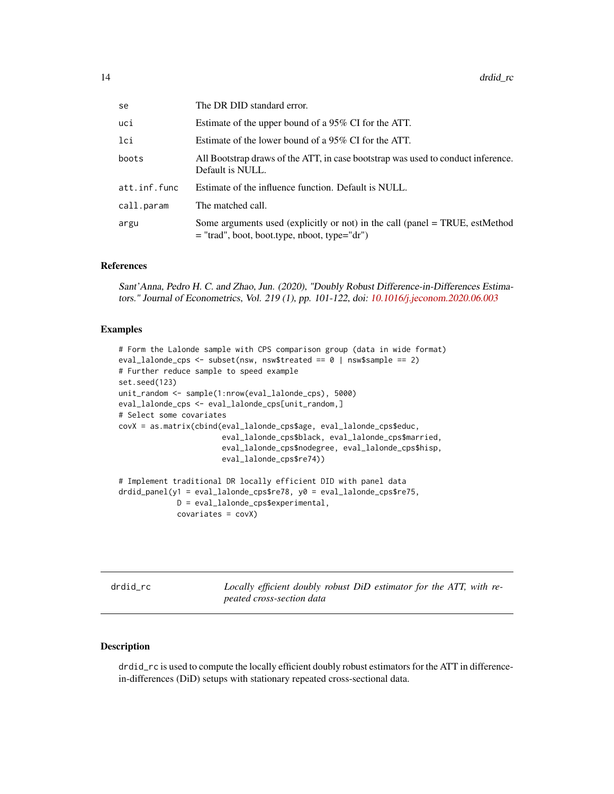<span id="page-13-0"></span>

| The DR DID standard error.                                                                                                       |
|----------------------------------------------------------------------------------------------------------------------------------|
| Estimate of the upper bound of a 95% CI for the ATT.                                                                             |
| Estimate of the lower bound of a 95% CI for the ATT.                                                                             |
| All Bootstrap draws of the ATT, in case bootstrap was used to conduct inference.<br>Default is NULL.                             |
| Estimate of the influence function. Default is NULL.                                                                             |
| The matched call.                                                                                                                |
| Some arguments used (explicitly or not) in the call (panel $=$ TRUE, estMethod<br>$=$ "trad", boot, boot.type, nboot, type="dr") |
|                                                                                                                                  |

Sant'Anna, Pedro H. C. and Zhao, Jun. (2020), "Doubly Robust Difference-in-Differences Estimators." Journal of Econometrics, Vol. 219 (1), pp. 101-122, doi: [10.1016/j.jeconom.2020.06.003](https://doi.org/10.1016/j.jeconom.2020.06.003)

## Examples

```
# Form the Lalonde sample with CPS comparison group (data in wide format)
eval_lalonde_cps <- subset(nsw, nsw$treated == 0 | nsw$sample == 2)
# Further reduce sample to speed example
set.seed(123)
unit_random <- sample(1:nrow(eval_lalonde_cps), 5000)
eval_lalonde_cps <- eval_lalonde_cps[unit_random,]
# Select some covariates
covX = as.matrix(cbind(eval_lalonde_cps$age, eval_lalonde_cps$educ,
                       eval_lalonde_cps$black, eval_lalonde_cps$married,
                       eval_lalonde_cps$nodegree, eval_lalonde_cps$hisp,
                       eval_lalonde_cps$re74))
# Implement traditional DR locally efficient DID with panel data
drdid_panel(y1 = eval_lalonde_cps$re78, y0 = eval_lalonde_cps$re75,
             D = eval_lalonde_cps$experimental,
             covariates = covX)
```
drdid\_rc *Locally efficient doubly robust DiD estimator for the ATT, with repeated cross-section data*

## Description

drdid\_rc is used to compute the locally efficient doubly robust estimators for the ATT in differencein-differences (DiD) setups with stationary repeated cross-sectional data.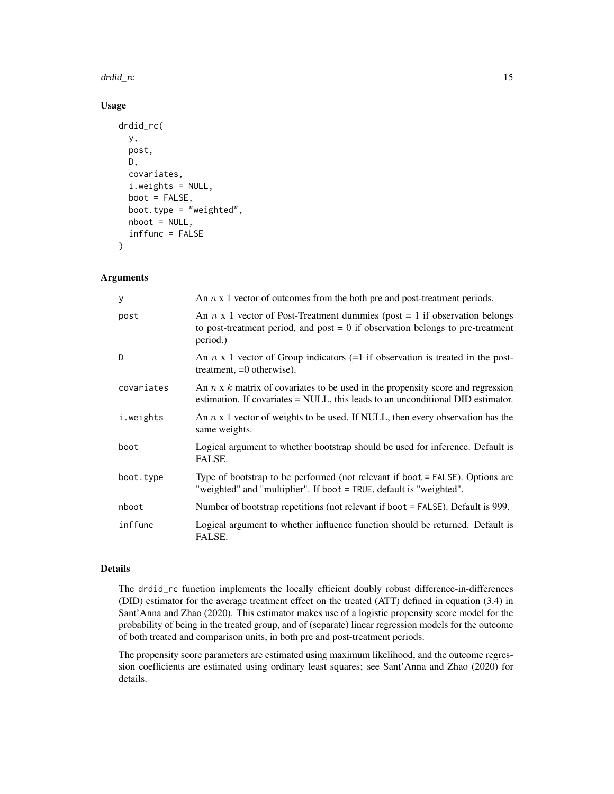#### drdid\_rc 15

## Usage

```
drdid_rc(
 y,
 post,
 D,
  covariates,
  i.weights = NULL,
 boot = FALSE,
 boot.type = "weighted",
 nboot = NULL,inffunc = FALSE
)
```
### Arguments

| У          | An $n \times 1$ vector of outcomes from the both pre and post-treatment periods.                                                                                                  |
|------------|-----------------------------------------------------------------------------------------------------------------------------------------------------------------------------------|
| post       | An $n \times 1$ vector of Post-Treatment dummies (post = 1 if observation belongs<br>to post-treatment period, and post $= 0$ if observation belongs to pre-treatment<br>period.) |
| D.         | An $n \times 1$ vector of Group indicators (=1 if observation is treated in the post-<br>treatment, $=0$ otherwise).                                                              |
| covariates | An $n \times k$ matrix of covariates to be used in the propensity score and regression<br>estimation. If covariates = NULL, this leads to an unconditional DID estimator.         |
| i.weights  | An $n \times 1$ vector of weights to be used. If NULL, then every observation has the<br>same weights.                                                                            |
| boot       | Logical argument to whether bootstrap should be used for inference. Default is<br>FALSE.                                                                                          |
| boot.type  | Type of bootstrap to be performed (not relevant if boot = FALSE). Options are<br>"weighted" and "multiplier". If boot = TRUE, default is "weighted".                              |
| nboot      | Number of bootstrap repetitions (not relevant if boot = FALSE). Default is 999.                                                                                                   |
| inffunc    | Logical argument to whether influence function should be returned. Default is<br>FALSE.                                                                                           |

## Details

The drdid\_rc function implements the locally efficient doubly robust difference-in-differences (DID) estimator for the average treatment effect on the treated (ATT) defined in equation (3.4) in Sant'Anna and Zhao (2020). This estimator makes use of a logistic propensity score model for the probability of being in the treated group, and of (separate) linear regression models for the outcome of both treated and comparison units, in both pre and post-treatment periods.

The propensity score parameters are estimated using maximum likelihood, and the outcome regression coefficients are estimated using ordinary least squares; see Sant'Anna and Zhao (2020) for details.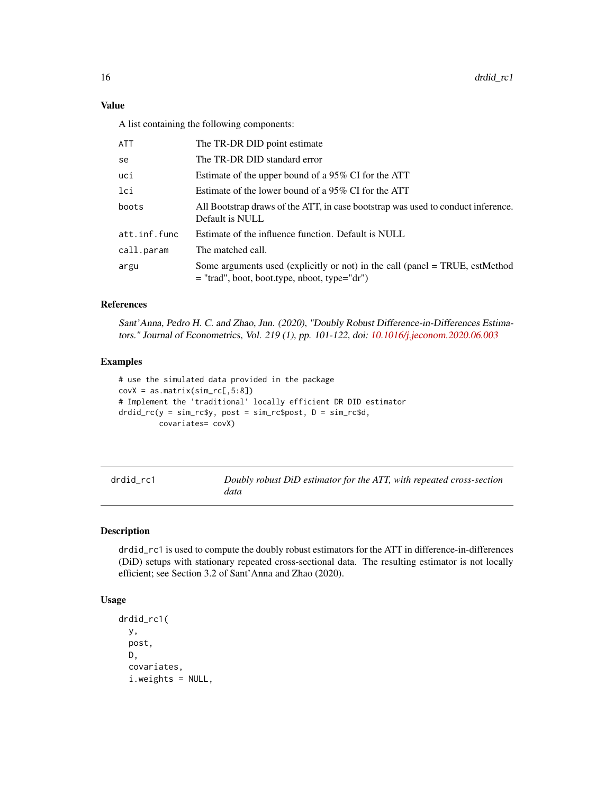<span id="page-15-0"></span>A list containing the following components:

| ATT          | The TR-DR DID point estimate                                                                                                   |
|--------------|--------------------------------------------------------------------------------------------------------------------------------|
| se           | The TR-DR DID standard error                                                                                                   |
| uci          | Estimate of the upper bound of a 95% CI for the ATT                                                                            |
| lci          | Estimate of the lower bound of a 95% CI for the ATT                                                                            |
| boots        | All Bootstrap draws of the ATT, in case bootstrap was used to conduct inference.<br>Default is NULL                            |
| att.inf.func | Estimate of the influence function. Default is NULL                                                                            |
| call.param   | The matched call.                                                                                                              |
| argu         | Some arguments used (explicitly or not) in the call (panel = TRUE, estMethod<br>$=$ "trad", boot, boot.type, nboot, type="dr") |

## References

Sant'Anna, Pedro H. C. and Zhao, Jun. (2020), "Doubly Robust Difference-in-Differences Estimators." Journal of Econometrics, Vol. 219 (1), pp. 101-122, doi: [10.1016/j.jeconom.2020.06.003](https://doi.org/10.1016/j.jeconom.2020.06.003)

#### Examples

```
# use the simulated data provided in the package
covX = as_matrix(sim\_rc[, 5:8])# Implement the 'traditional' locally efficient DR DID estimator
drdid_rc(y = sim_rc$y, post = sim_rc$post, D = sim_rc$d,
         covariates= covX)
```

| drdid rc1 | Doubly robust DiD estimator for the ATT, with repeated cross-section |
|-----------|----------------------------------------------------------------------|
|           | data                                                                 |

## Description

drdid\_rc1 is used to compute the doubly robust estimators for the ATT in difference-in-differences (DiD) setups with stationary repeated cross-sectional data. The resulting estimator is not locally efficient; see Section 3.2 of Sant'Anna and Zhao (2020).

## Usage

```
drdid_rc1(
 y,
 post,
 D,
  covariates,
  i.weights = NULL,
```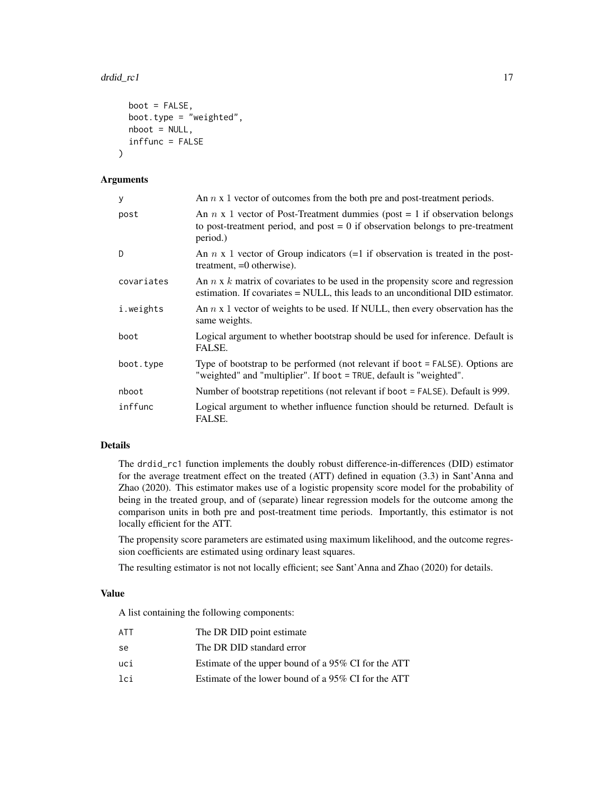```
boot = FALSE,
boot.type = "weighted",
nboot = NULL,
inffunc = FALSE
```
#### Arguments

)

| y          | An $n \times 1$ vector of outcomes from the both pre and post-treatment periods.                                                                                                  |
|------------|-----------------------------------------------------------------------------------------------------------------------------------------------------------------------------------|
| post       | An $n \times 1$ vector of Post-Treatment dummies (post = 1 if observation belongs<br>to post-treatment period, and post $= 0$ if observation belongs to pre-treatment<br>period.) |
| D          | An $n \times 1$ vector of Group indicators (=1 if observation is treated in the post-<br>treatment, $=0$ otherwise).                                                              |
| covariates | An $n \times k$ matrix of covariates to be used in the propensity score and regression<br>estimation. If covariates = NULL, this leads to an unconditional DID estimator.         |
| i.weights  | An $n \times 1$ vector of weights to be used. If NULL, then every observation has the<br>same weights.                                                                            |
| boot       | Logical argument to whether bootstrap should be used for inference. Default is<br>FALSE.                                                                                          |
| boot.type  | Type of bootstrap to be performed (not relevant if boot = FALSE). Options are<br>"weighted" and "multiplier". If boot = TRUE, default is "weighted".                              |
| nboot      | Number of bootstrap repetitions (not relevant if boot = FALSE). Default is 999.                                                                                                   |
| inffunc    | Logical argument to whether influence function should be returned. Default is<br>FALSE.                                                                                           |

### Details

The drdid\_rc1 function implements the doubly robust difference-in-differences (DID) estimator for the average treatment effect on the treated (ATT) defined in equation (3.3) in Sant'Anna and Zhao (2020). This estimator makes use of a logistic propensity score model for the probability of being in the treated group, and of (separate) linear regression models for the outcome among the comparison units in both pre and post-treatment time periods. Importantly, this estimator is not locally efficient for the ATT.

The propensity score parameters are estimated using maximum likelihood, and the outcome regression coefficients are estimated using ordinary least squares.

The resulting estimator is not not locally efficient; see Sant'Anna and Zhao (2020) for details.

## Value

| ATT | The DR DID point estimate                           |
|-----|-----------------------------------------------------|
| se  | The DR DID standard error                           |
| uci | Estimate of the upper bound of a 95% CI for the ATT |
| lci | Estimate of the lower bound of a 95% CI for the ATT |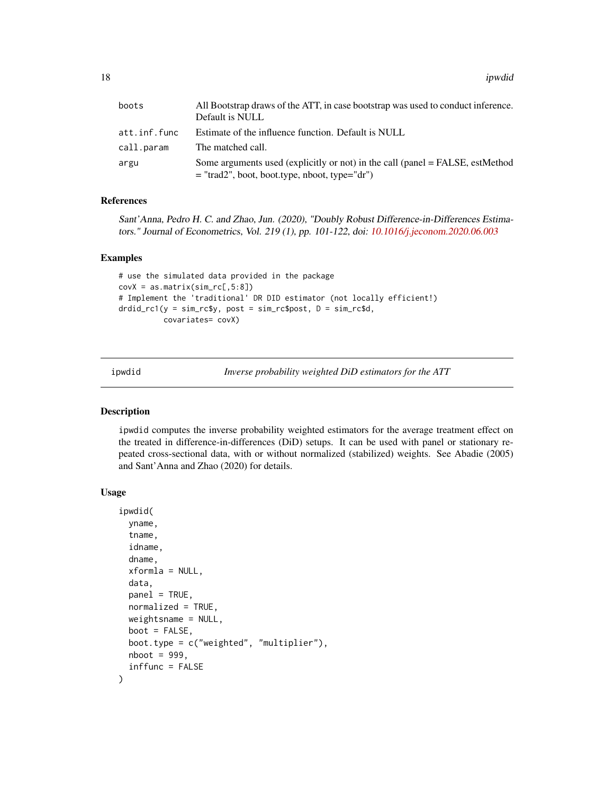<span id="page-17-0"></span>

| boots        | All Bootstrap draws of the ATT, in case bootstrap was used to conduct inference.<br>Default is NULL                              |
|--------------|----------------------------------------------------------------------------------------------------------------------------------|
| att.inf.func | Estimate of the influence function. Default is NULL                                                                              |
| call.param   | The matched call.                                                                                                                |
| argu         | Some arguments used (explicitly or not) in the call (panel = FALSE, estMethod<br>$=$ "trad2", boot, boot.type, nboot, type="dr") |

Sant'Anna, Pedro H. C. and Zhao, Jun. (2020), "Doubly Robust Difference-in-Differences Estimators." Journal of Econometrics, Vol. 219 (1), pp. 101-122, doi: [10.1016/j.jeconom.2020.06.003](https://doi.org/10.1016/j.jeconom.2020.06.003)

#### Examples

```
# use the simulated data provided in the package
covX = as_matrix(sim\_rc[, 5:8])# Implement the 'traditional' DR DID estimator (not locally efficient!)
drdid_rc1(y = sim_rc$y, post = sim_rc$post, D = sim_rc$d,
          covariates= covX)
```
ipwdid *Inverse probability weighted DiD estimators for the ATT*

#### Description

ipwdid computes the inverse probability weighted estimators for the average treatment effect on the treated in difference-in-differences (DiD) setups. It can be used with panel or stationary repeated cross-sectional data, with or without normalized (stabilized) weights. See Abadie (2005) and Sant'Anna and Zhao (2020) for details.

#### Usage

```
ipwdid(
  yname,
  tname,
  idname,
  dname,
  xformla = NULL,data,
 panel = TRUE,
  normalized = TRUE,
  weightsname = NULL,
 boot = FALSE,
 boot.type = c("weighted", "multiplier"),
  nboot = 999,inffunc = FALSE
)
```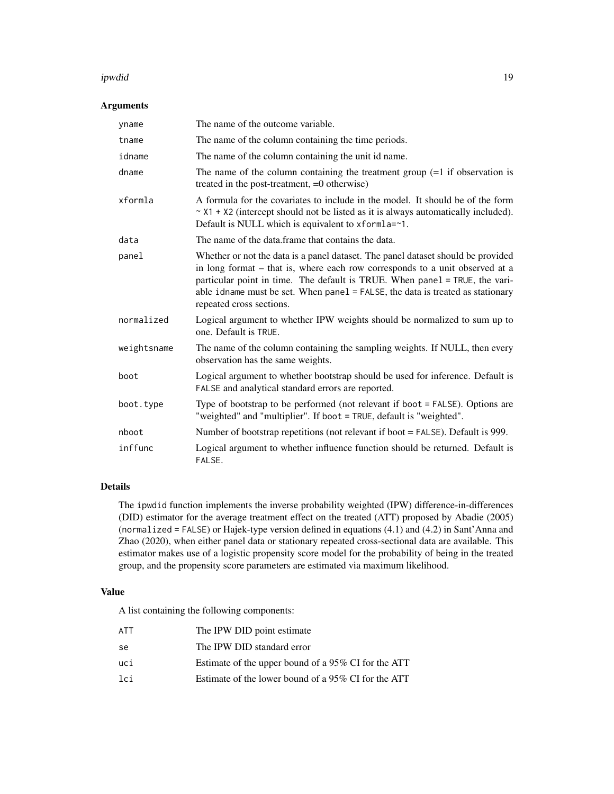#### ipwdid the control of the control of the control of the control of the control of the control of the control of the control of the control of the control of the control of the control of the control of the control of the c

## Arguments

| yname       | The name of the outcome variable.                                                                                                                                                                                                                                                                                                                             |
|-------------|---------------------------------------------------------------------------------------------------------------------------------------------------------------------------------------------------------------------------------------------------------------------------------------------------------------------------------------------------------------|
| tname       | The name of the column containing the time periods.                                                                                                                                                                                                                                                                                                           |
| idname      | The name of the column containing the unit id name.                                                                                                                                                                                                                                                                                                           |
| dname       | The name of the column containing the treatment group $(=1$ if observation is<br>treated in the post-treatment, $=0$ otherwise)                                                                                                                                                                                                                               |
| xformla     | A formula for the covariates to include in the model. It should be of the form<br>$\sim$ X1 + X2 (intercept should not be listed as it is always automatically included).<br>Default is NULL which is equivalent to xformla=~1.                                                                                                                               |
| data        | The name of the data frame that contains the data.                                                                                                                                                                                                                                                                                                            |
| panel       | Whether or not the data is a panel dataset. The panel dataset should be provided<br>in long format – that is, where each row corresponds to a unit observed at a<br>particular point in time. The default is TRUE. When panel = TRUE, the vari-<br>able idname must be set. When panel = FALSE, the data is treated as stationary<br>repeated cross sections. |
| normalized  | Logical argument to whether IPW weights should be normalized to sum up to<br>one. Default is TRUE.                                                                                                                                                                                                                                                            |
| weightsname | The name of the column containing the sampling weights. If NULL, then every<br>observation has the same weights.                                                                                                                                                                                                                                              |
| boot        | Logical argument to whether bootstrap should be used for inference. Default is<br>FALSE and analytical standard errors are reported.                                                                                                                                                                                                                          |
| boot.type   | Type of bootstrap to be performed (not relevant if boot $=$ FALSE). Options are<br>"weighted" and "multiplier". If boot = TRUE, default is "weighted".                                                                                                                                                                                                        |
| nboot       | Number of bootstrap repetitions (not relevant if boot = FALSE). Default is 999.                                                                                                                                                                                                                                                                               |
| inffunc     | Logical argument to whether influence function should be returned. Default is<br>FALSE.                                                                                                                                                                                                                                                                       |

## Details

The ipwdid function implements the inverse probability weighted (IPW) difference-in-differences (DID) estimator for the average treatment effect on the treated (ATT) proposed by Abadie (2005) (normalized = FALSE) or Hajek-type version defined in equations (4.1) and (4.2) in Sant'Anna and Zhao (2020), when either panel data or stationary repeated cross-sectional data are available. This estimator makes use of a logistic propensity score model for the probability of being in the treated group, and the propensity score parameters are estimated via maximum likelihood.

## Value

| ATT | The IPW DID point estimate                          |
|-----|-----------------------------------------------------|
| se  | The IPW DID standard error                          |
| uci | Estimate of the upper bound of a 95% CI for the ATT |
| lci | Estimate of the lower bound of a 95% CI for the ATT |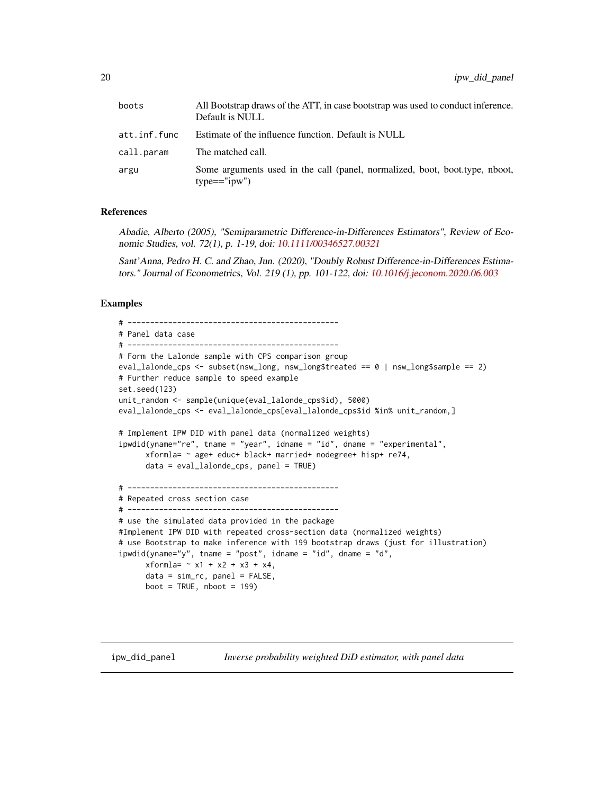<span id="page-19-0"></span>

| boots        | All Bootstrap draws of the ATT, in case bootstrap was used to conduct inference.<br>Default is NULL |
|--------------|-----------------------------------------------------------------------------------------------------|
| att.inf.func | Estimate of the influence function. Default is NULL                                                 |
| call.param   | The matched call.                                                                                   |
| argu         | Some arguments used in the call (panel, normalized, boot, boot, type, nboot,<br>$type=="ipw")$      |

Abadie, Alberto (2005), "Semiparametric Difference-in-Differences Estimators", Review of Economic Studies, vol. 72(1), p. 1-19, doi: [10.1111/00346527.00321](https://doi.org/10.1111/0034-6527.00321)

Sant'Anna, Pedro H. C. and Zhao, Jun. (2020), "Doubly Robust Difference-in-Differences Estimators." Journal of Econometrics, Vol. 219 (1), pp. 101-122, doi: [10.1016/j.jeconom.2020.06.003](https://doi.org/10.1016/j.jeconom.2020.06.003)

## Examples

```
# -----------------------------------------------
# Panel data case
# -----------------------------------------------
# Form the Lalonde sample with CPS comparison group
eval_lalonde_cps <- subset(nsw_long, nsw_long$treated == 0 | nsw_long$sample == 2)
# Further reduce sample to speed example
set.seed(123)
unit_random <- sample(unique(eval_lalonde_cps$id), 5000)
eval_lalonde_cps <- eval_lalonde_cps[eval_lalonde_cps$id %in% unit_random,]
# Implement IPW DID with panel data (normalized weights)
ipwdid(yname="re", tname = "year", idname = "id", dname = "experimental",
     xformla = ~ age+ educ+ black+ married+ nodegree+ hisp+ re74,data = eval_lalonde_cps, panel = TRUE)
# -----------------------------------------------
# Repeated cross section case
# -----------------------------------------------
# use the simulated data provided in the package
#Implement IPW DID with repeated cross-section data (normalized weights)
# use Bootstrap to make inference with 199 bootstrap draws (just for illustration)
ipwdid(yname="y", tanme = "post", idname = "id", dname = "d",xformla = -x1 + x2 + x3 + x4,data = sim\_rc, panel = FALSE,
     boot = TRUE, nboot = 199)
```
ipw\_did\_panel *Inverse probability weighted DiD estimator, with panel data*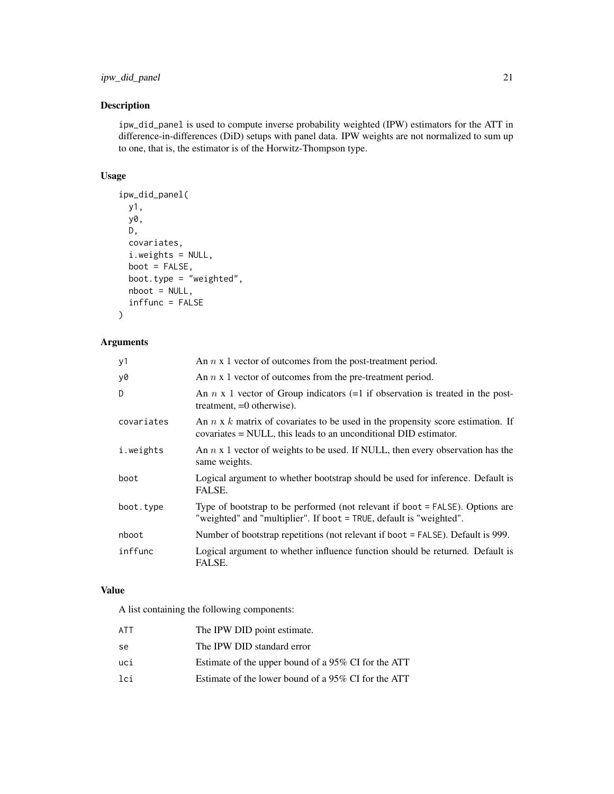## ipw\_did\_panel 21

## Description

ipw\_did\_panel is used to compute inverse probability weighted (IPW) estimators for the ATT in difference-in-differences (DiD) setups with panel data. IPW weights are not normalized to sum up to one, that is, the estimator is of the Horwitz-Thompson type.

## Usage

```
ipw_did_panel(
 y1,
 y0,
 D,
 covariates,
  i.weights = NULL,
 boot = FALSE,boot.type = "weighted",
 nboot = NULL,inffunc = FALSE
)
```
## Arguments

| y1         | An $n \times 1$ vector of outcomes from the post-treatment period.                                                                                         |
|------------|------------------------------------------------------------------------------------------------------------------------------------------------------------|
| y0         | An $n \times 1$ vector of outcomes from the pre-treatment period.                                                                                          |
| D          | An $n \times 1$ vector of Group indicators (=1 if observation is treated in the post-<br>treatment, $=0$ otherwise).                                       |
| covariates | An $n \times k$ matrix of covariates to be used in the propensity score estimation. If<br>covariates = NULL, this leads to an unconditional DID estimator. |
| i.weights  | An $n \times 1$ vector of weights to be used. If NULL, then every observation has the<br>same weights.                                                     |
| boot       | Logical argument to whether bootstrap should be used for inference. Default is<br>FALSE.                                                                   |
| boot.type  | Type of bootstrap to be performed (not relevant if boot = FALSE). Options are<br>"weighted" and "multiplier". If boot = TRUE, default is "weighted".       |
| nboot      | Number of bootstrap repetitions (not relevant if boot = FALSE). Default is 999.                                                                            |
| inffunc    | Logical argument to whether influence function should be returned. Default is<br>FALSE.                                                                    |

## Value

| ATT | The IPW DID point estimate.                         |
|-----|-----------------------------------------------------|
| se  | The IPW DID standard error                          |
| uci | Estimate of the upper bound of a 95% CI for the ATT |
| lci | Estimate of the lower bound of a 95% CI for the ATT |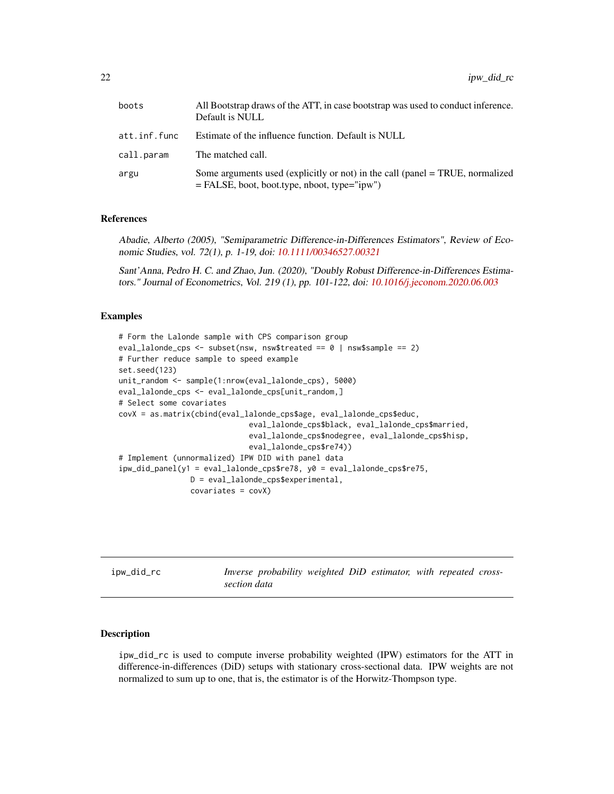<span id="page-21-0"></span>

| boots        | All Bootstrap draws of the ATT, in case bootstrap was used to conduct inference.<br>Default is NULL                             |
|--------------|---------------------------------------------------------------------------------------------------------------------------------|
| att.inf.func | Estimate of the influence function. Default is NULL                                                                             |
| call.param   | The matched call.                                                                                                               |
| argu         | Some arguments used (explicitly or not) in the call (panel = TRUE, normalized<br>$=$ FALSE, boot, boot.type, nboot, type="ipw") |

Abadie, Alberto (2005), "Semiparametric Difference-in-Differences Estimators", Review of Economic Studies, vol. 72(1), p. 1-19, doi: [10.1111/00346527.00321](https://doi.org/10.1111/0034-6527.00321)

Sant'Anna, Pedro H. C. and Zhao, Jun. (2020), "Doubly Robust Difference-in-Differences Estimators." Journal of Econometrics, Vol. 219 (1), pp. 101-122, doi: [10.1016/j.jeconom.2020.06.003](https://doi.org/10.1016/j.jeconom.2020.06.003)

#### Examples

```
# Form the Lalonde sample with CPS comparison group
eval_lalonde_cps <- subset(nsw, nsw$treated == 0 | nsw$sample == 2)
# Further reduce sample to speed example
set.seed(123)
unit_random <- sample(1:nrow(eval_lalonde_cps), 5000)
eval_lalonde_cps <- eval_lalonde_cps[unit_random,]
# Select some covariates
covX = as.matrix(cbind(eval_lalonde_cps$age, eval_lalonde_cps$educ,
                             eval_lalonde_cps$black, eval_lalonde_cps$married,
                             eval_lalonde_cps$nodegree, eval_lalonde_cps$hisp,
                             eval_lalonde_cps$re74))
# Implement (unnormalized) IPW DID with panel data
ipw_did_panel(y1 = eval_lalonde_cps$re78, y0 = eval_lalonde_cps$re75,
                D = eval_lalonde_cps$experimental,
                covariates = covX)
```
ipw\_did\_rc *Inverse probability weighted DiD estimator, with repeated crosssection data*

#### Description

ipw\_did\_rc is used to compute inverse probability weighted (IPW) estimators for the ATT in difference-in-differences (DiD) setups with stationary cross-sectional data. IPW weights are not normalized to sum up to one, that is, the estimator is of the Horwitz-Thompson type.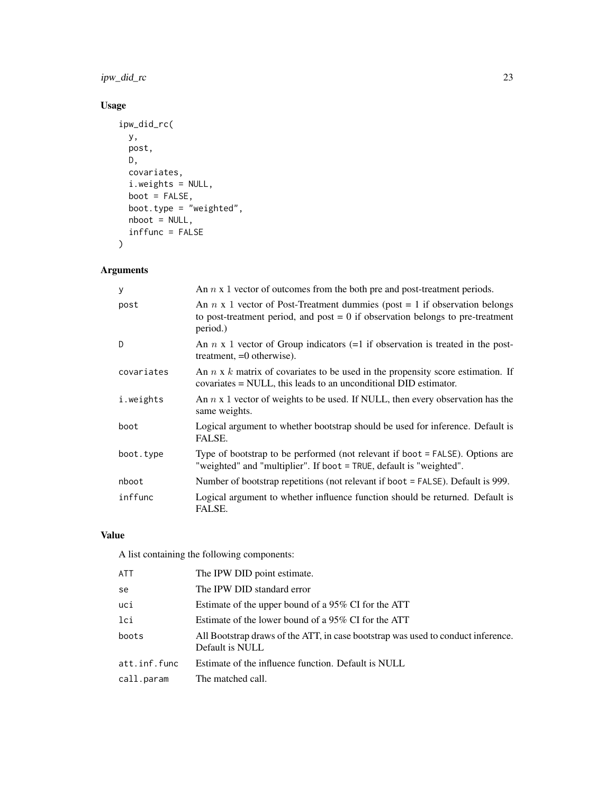ipw\_did\_rc 23

## Usage

```
ipw_did_rc(
 y,
 post,
 D,
 covariates,
 i.weights = NULL,
 boot = FALSE,
 boot.type = "weighted",
 nboot = NULL,
 inffunc = FALSE
)
```
## Arguments

| У          | An $n \times 1$ vector of outcomes from the both pre and post-treatment periods.                                                                                                  |
|------------|-----------------------------------------------------------------------------------------------------------------------------------------------------------------------------------|
| post       | An $n \times 1$ vector of Post-Treatment dummies (post = 1 if observation belongs<br>to post-treatment period, and post $= 0$ if observation belongs to pre-treatment<br>period.) |
| D.         | An $n \times 1$ vector of Group indicators (=1 if observation is treated in the post-<br>treatment, $=0$ otherwise).                                                              |
| covariates | An $n \times k$ matrix of covariates to be used in the propensity score estimation. If<br>covariates = NULL, this leads to an unconditional DID estimator.                        |
| i.weights  | An $n \times 1$ vector of weights to be used. If NULL, then every observation has the<br>same weights.                                                                            |
| boot       | Logical argument to whether bootstrap should be used for inference. Default is<br>FALSE.                                                                                          |
| boot.type  | Type of bootstrap to be performed (not relevant if boot = FALSE). Options are<br>"weighted" and "multiplier". If boot = TRUE, default is "weighted".                              |
| nboot      | Number of bootstrap repetitions (not relevant if boot = FALSE). Default is 999.                                                                                                   |
| inffunc    | Logical argument to whether influence function should be returned. Default is<br>FALSE.                                                                                           |

## Value

| ATT          | The IPW DID point estimate.                                                                         |
|--------------|-----------------------------------------------------------------------------------------------------|
| se           | The IPW DID standard error                                                                          |
| uci          | Estimate of the upper bound of a 95% CI for the ATT                                                 |
| lci          | Estimate of the lower bound of a 95% CI for the ATT                                                 |
| boots        | All Bootstrap draws of the ATT, in case bootstrap was used to conduct inference.<br>Default is NULL |
| att.inf.func | Estimate of the influence function. Default is NULL                                                 |
| call.param   | The matched call.                                                                                   |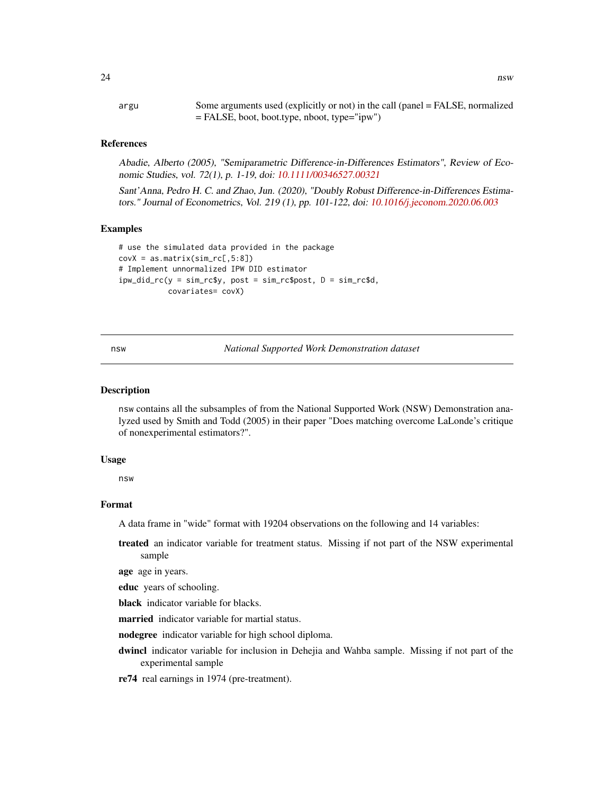<span id="page-23-0"></span>argu Some arguments used (explicitly or not) in the call (panel = FALSE, normalized = FALSE, boot, boot.type, nboot, type="ipw")

#### References

Abadie, Alberto (2005), "Semiparametric Difference-in-Differences Estimators", Review of Economic Studies, vol. 72(1), p. 1-19, doi: [10.1111/00346527.00321](https://doi.org/10.1111/0034-6527.00321)

Sant'Anna, Pedro H. C. and Zhao, Jun. (2020), "Doubly Robust Difference-in-Differences Estimators." Journal of Econometrics, Vol. 219 (1), pp. 101-122, doi: [10.1016/j.jeconom.2020.06.003](https://doi.org/10.1016/j.jeconom.2020.06.003)

#### Examples

```
# use the simulated data provided in the package
covX = as_matrix(sim\_rc[, 5:8])# Implement unnormalized IPW DID estimator
ipw_did_rc(y = sim_rc$y, post = sim_rc$post, D = sim_rc$d,
           covariates= covX)
```
nsw *National Supported Work Demonstration dataset*

#### Description

nsw contains all the subsamples of from the National Supported Work (NSW) Demonstration analyzed used by Smith and Todd (2005) in their paper "Does matching overcome LaLonde's critique of nonexperimental estimators?".

#### Usage

nsw

#### Format

A data frame in "wide" format with 19204 observations on the following and 14 variables:

treated an indicator variable for treatment status. Missing if not part of the NSW experimental sample

age age in years.

educ years of schooling.

black indicator variable for blacks.

married indicator variable for martial status.

nodegree indicator variable for high school diploma.

dwincl indicator variable for inclusion in Dehejia and Wahba sample. Missing if not part of the experimental sample

re74 real earnings in 1974 (pre-treatment).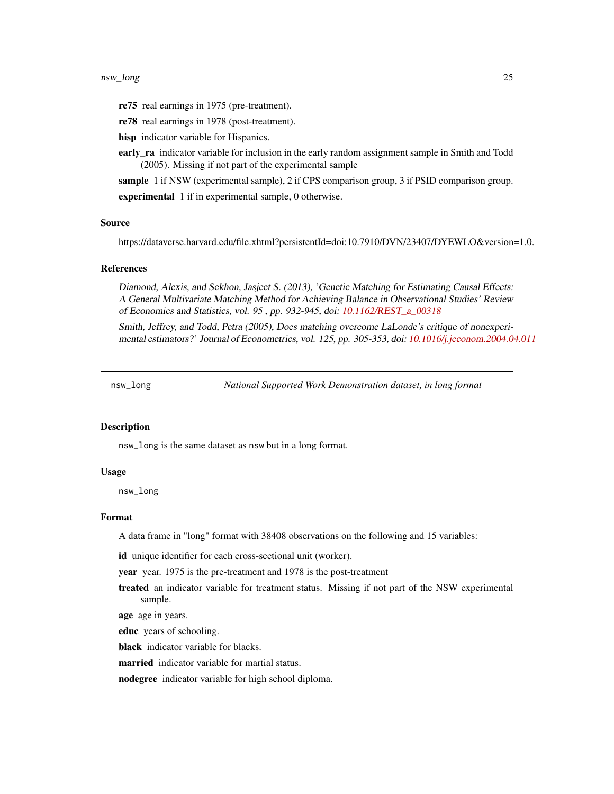#### <span id="page-24-0"></span>nsw\_long 25

- re75 real earnings in 1975 (pre-treatment).
- re78 real earnings in 1978 (post-treatment).
- hisp indicator variable for Hispanics.
- early\_ra indicator variable for inclusion in the early random assignment sample in Smith and Todd (2005). Missing if not part of the experimental sample
- sample 1 if NSW (experimental sample), 2 if CPS comparison group, 3 if PSID comparison group.

experimental 1 if in experimental sample, 0 otherwise.

#### Source

https://dataverse.harvard.edu/file.xhtml?persistentId=doi:10.7910/DVN/23407/DYEWLO&version=1.0.

#### References

Diamond, Alexis, and Sekhon, Jasjeet S. (2013), 'Genetic Matching for Estimating Causal Effects: A General Multivariate Matching Method for Achieving Balance in Observational Studies' Review of Economics and Statistics, vol. 95 , pp. 932-945, doi: [10.1162/REST\\_a\\_00318](https://doi.org/10.1162/REST_a_00318)

Smith, Jeffrey, and Todd, Petra (2005), Does matching overcome LaLonde's critique of nonexperimental estimators?' Journal of Econometrics, vol. 125, pp. 305-353, doi: [10.1016/j.jeconom.2004.04.011](https://doi.org/10.1016/j.jeconom.2004.04.011)

nsw\_long *National Supported Work Demonstration dataset, in long format*

#### **Description**

nsw\_long is the same dataset as nsw but in a long format.

#### Usage

nsw\_long

#### Format

A data frame in "long" format with 38408 observations on the following and 15 variables:

id unique identifier for each cross-sectional unit (worker).

year year. 1975 is the pre-treatment and 1978 is the post-treatment

treated an indicator variable for treatment status. Missing if not part of the NSW experimental sample.

age age in years.

educ years of schooling.

black indicator variable for blacks.

married indicator variable for martial status.

nodegree indicator variable for high school diploma.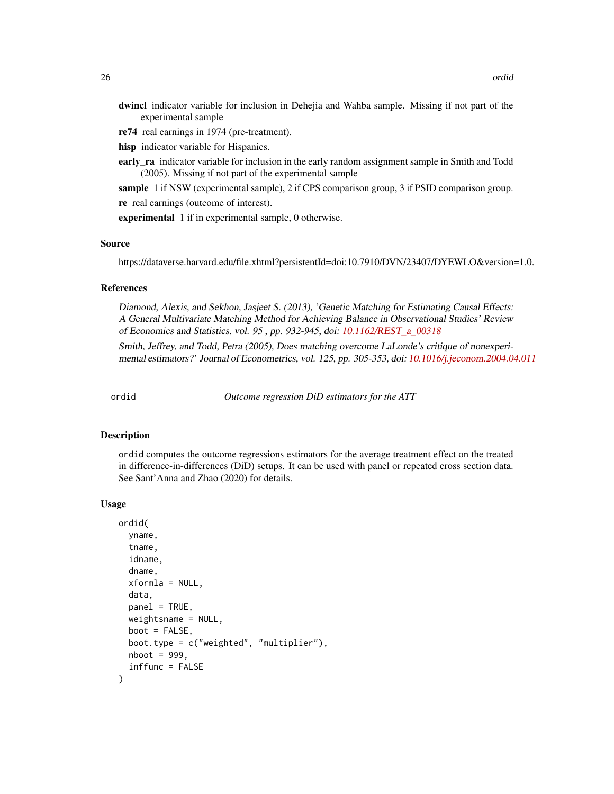- <span id="page-25-0"></span>dwincl indicator variable for inclusion in Dehejia and Wahba sample. Missing if not part of the experimental sample
- re74 real earnings in 1974 (pre-treatment).
- hisp indicator variable for Hispanics.
- early ra indicator variable for inclusion in the early random assignment sample in Smith and Todd (2005). Missing if not part of the experimental sample
- sample 1 if NSW (experimental sample), 2 if CPS comparison group, 3 if PSID comparison group. re real earnings (outcome of interest).

experimental 1 if in experimental sample, 0 otherwise.

#### Source

https://dataverse.harvard.edu/file.xhtml?persistentId=doi:10.7910/DVN/23407/DYEWLO&version=1.0.

#### References

Diamond, Alexis, and Sekhon, Jasjeet S. (2013), 'Genetic Matching for Estimating Causal Effects: A General Multivariate Matching Method for Achieving Balance in Observational Studies' Review of Economics and Statistics, vol. 95 , pp. 932-945, doi: [10.1162/REST\\_a\\_00318](https://doi.org/10.1162/REST_a_00318)

Smith, Jeffrey, and Todd, Petra (2005), Does matching overcome LaLonde's critique of nonexperimental estimators?' Journal of Econometrics, vol. 125, pp. 305-353, doi: [10.1016/j.jeconom.2004.04.011](https://doi.org/10.1016/j.jeconom.2004.04.011)

ordid *Outcome regression DiD estimators for the ATT*

#### Description

ordid computes the outcome regressions estimators for the average treatment effect on the treated in difference-in-differences (DiD) setups. It can be used with panel or repeated cross section data. See Sant'Anna and Zhao (2020) for details.

#### Usage

```
ordid(
  yname,
  tname,
  idname,
  dname,
  xformla = NULL,
  data,
 panel = TRUE,
  weightsname = NULL,
  boot = FALSE,boot.type = c("weighted", "multiplier"),
  nboot = 999,inffunc = FALSE
)
```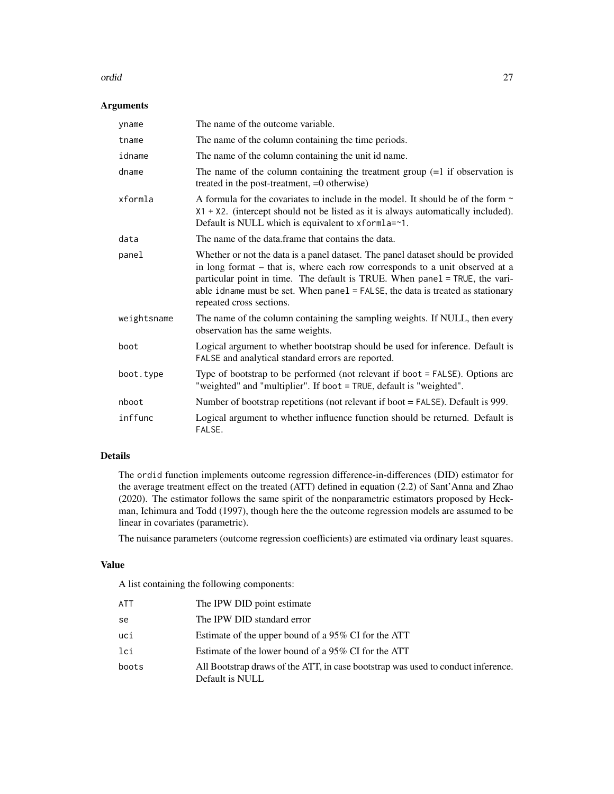#### ordid 27

## Arguments

| yname       | The name of the outcome variable.                                                                                                                                                                                                                                                                                                                                |
|-------------|------------------------------------------------------------------------------------------------------------------------------------------------------------------------------------------------------------------------------------------------------------------------------------------------------------------------------------------------------------------|
| tname       | The name of the column containing the time periods.                                                                                                                                                                                                                                                                                                              |
| idname      | The name of the column containing the unit id name.                                                                                                                                                                                                                                                                                                              |
| dname       | The name of the column containing the treatment group $(=1$ if observation is<br>treated in the post-treatment, =0 otherwise)                                                                                                                                                                                                                                    |
| xformla     | A formula for the covariates to include in the model. It should be of the form $\sim$<br>$X1 + X2$ . (intercept should not be listed as it is always automatically included).<br>Default is NULL which is equivalent to xformla=~1.                                                                                                                              |
| data        | The name of the data frame that contains the data.                                                                                                                                                                                                                                                                                                               |
| panel       | Whether or not the data is a panel dataset. The panel dataset should be provided<br>in long format – that is, where each row corresponds to a unit observed at a<br>particular point in time. The default is TRUE. When panel = TRUE, the vari-<br>able idname must be set. When $panel = FALSE$ , the data is treated as stationary<br>repeated cross sections. |
| weightsname | The name of the column containing the sampling weights. If NULL, then every<br>observation has the same weights.                                                                                                                                                                                                                                                 |
| boot        | Logical argument to whether bootstrap should be used for inference. Default is<br>FALSE and analytical standard errors are reported.                                                                                                                                                                                                                             |
| boot.type   | Type of bootstrap to be performed (not relevant if boot = FALSE). Options are<br>"weighted" and "multiplier". If boot = TRUE, default is "weighted".                                                                                                                                                                                                             |
| nboot       | Number of bootstrap repetitions (not relevant if boot $=$ FALSE). Default is 999.                                                                                                                                                                                                                                                                                |
| inffunc     | Logical argument to whether influence function should be returned. Default is<br>FALSE.                                                                                                                                                                                                                                                                          |

## Details

The ordid function implements outcome regression difference-in-differences (DID) estimator for the average treatment effect on the treated (ATT) defined in equation (2.2) of Sant'Anna and Zhao (2020). The estimator follows the same spirit of the nonparametric estimators proposed by Heckman, Ichimura and Todd (1997), though here the the outcome regression models are assumed to be linear in covariates (parametric).

The nuisance parameters (outcome regression coefficients) are estimated via ordinary least squares.

## Value

| ATT   | The IPW DID point estimate                                                                          |
|-------|-----------------------------------------------------------------------------------------------------|
| se    | The IPW DID standard error                                                                          |
| uci   | Estimate of the upper bound of a 95% CI for the ATT                                                 |
| lci   | Estimate of the lower bound of a 95% CI for the ATT                                                 |
| boots | All Bootstrap draws of the ATT, in case bootstrap was used to conduct inference.<br>Default is NULL |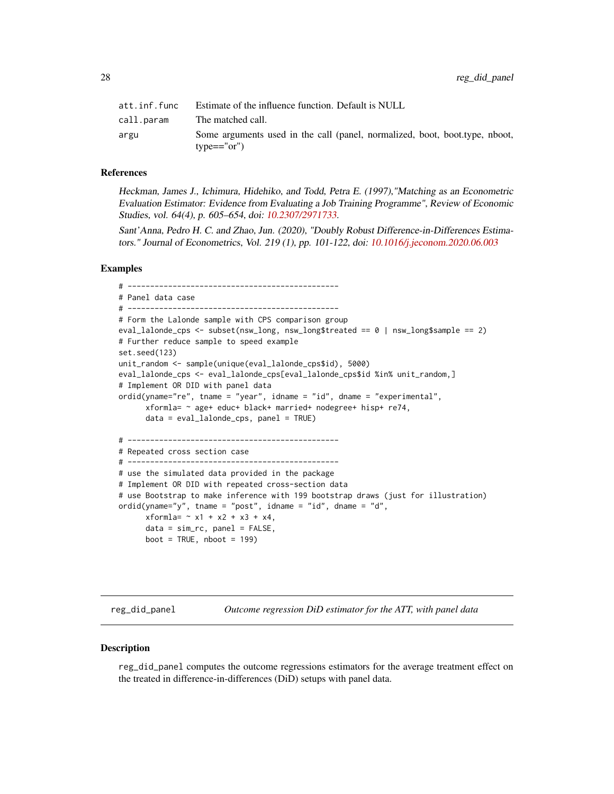<span id="page-27-0"></span>

| att.inf.func | Estimate of the influence function. Default is NULL                                          |
|--------------|----------------------------------------------------------------------------------------------|
| call.param   | The matched call.                                                                            |
| argu         | Some arguments used in the call (panel, normalized, boot, boot, type, nboot,<br>$type=="or"$ |

Heckman, James J., Ichimura, Hidehiko, and Todd, Petra E. (1997),"Matching as an Econometric Evaluation Estimator: Evidence from Evaluating a Job Training Programme", Review of Economic Studies, vol. 64(4), p. 605–654, doi: [10.2307/2971733.](https://doi.org/10.2307/2971733)

Sant'Anna, Pedro H. C. and Zhao, Jun. (2020), "Doubly Robust Difference-in-Differences Estimators." Journal of Econometrics, Vol. 219 (1), pp. 101-122, doi: [10.1016/j.jeconom.2020.06.003](https://doi.org/10.1016/j.jeconom.2020.06.003)

#### Examples

# ----------------------------------------------- # Panel data case # ----------------------------------------------- # Form the Lalonde sample with CPS comparison group eval\_lalonde\_cps <- subset(nsw\_long, nsw\_long\$treated == 0 | nsw\_long\$sample == 2) # Further reduce sample to speed example set.seed(123) unit\_random <- sample(unique(eval\_lalonde\_cps\$id), 5000) eval\_lalonde\_cps <- eval\_lalonde\_cps[eval\_lalonde\_cps\$id %in% unit\_random,] # Implement OR DID with panel data ordid(yname="re", tname = "year", idname = "id", dname = "experimental", xformla= ~ age+ educ+ black+ married+ nodegree+ hisp+ re74, data = eval\_lalonde\_cps, panel = TRUE) # ----------------------------------------------- # Repeated cross section case # ----------------------------------------------- # use the simulated data provided in the package # Implement OR DID with repeated cross-section data # use Bootstrap to make inference with 199 bootstrap draws (just for illustration) ordid(yname="y", tname = "post", idname = "id", dname = "d",  $xformla = -x1 + x2 + x3 + x4,$  $data = sim\_rc$ ,  $panel = FALSE$ ,  $boot = TRUE, nboot = 199)$ 

reg\_did\_panel *Outcome regression DiD estimator for the ATT, with panel data*

#### **Description**

reg\_did\_panel computes the outcome regressions estimators for the average treatment effect on the treated in difference-in-differences (DiD) setups with panel data.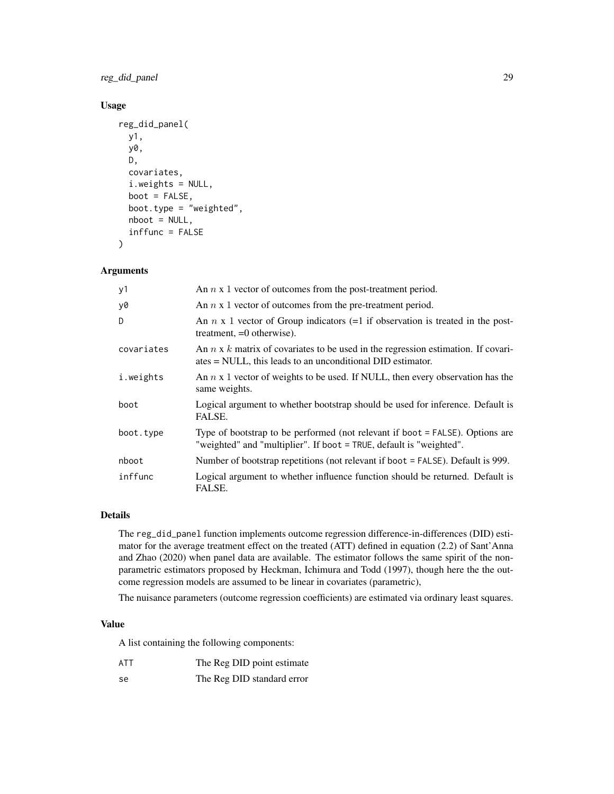reg\_did\_panel 29

## Usage

```
reg_did_panel(
 y1,
 y0,
 D,
  covariates,
  i.weights = NULL,
 boot = FALSE,boot.type = "weighted",
  nboot = NULL,inffunc = FALSE
)
```
## Arguments

| y1         | An $n \times 1$ vector of outcomes from the post-treatment period.                                                                                     |
|------------|--------------------------------------------------------------------------------------------------------------------------------------------------------|
| y0         | An $n \times 1$ vector of outcomes from the pre-treatment period.                                                                                      |
| D          | An $n \times 1$ vector of Group indicators (=1 if observation is treated in the post-<br>treatment, $=0$ otherwise).                                   |
| covariates | An $n \times k$ matrix of covariates to be used in the regression estimation. If covari-<br>ates = NULL, this leads to an unconditional DID estimator. |
| i.weights  | An $n \times 1$ vector of weights to be used. If NULL, then every observation has the<br>same weights.                                                 |
| boot       | Logical argument to whether bootstrap should be used for inference. Default is<br>FALSE.                                                               |
| boot.type  | Type of bootstrap to be performed (not relevant if boot = FALSE). Options are<br>"weighted" and "multiplier". If boot = TRUE, default is "weighted".   |
| nboot      | Number of bootstrap repetitions (not relevant if boot = FALSE). Default is 999.                                                                        |
| inffunc    | Logical argument to whether influence function should be returned. Default is<br>FALSE.                                                                |

## Details

The reg\_did\_panel function implements outcome regression difference-in-differences (DID) estimator for the average treatment effect on the treated (ATT) defined in equation (2.2) of Sant'Anna and Zhao (2020) when panel data are available. The estimator follows the same spirit of the nonparametric estimators proposed by Heckman, Ichimura and Todd (1997), though here the the outcome regression models are assumed to be linear in covariates (parametric),

The nuisance parameters (outcome regression coefficients) are estimated via ordinary least squares.

#### Value

- ATT The Reg DID point estimate
- se The Reg DID standard error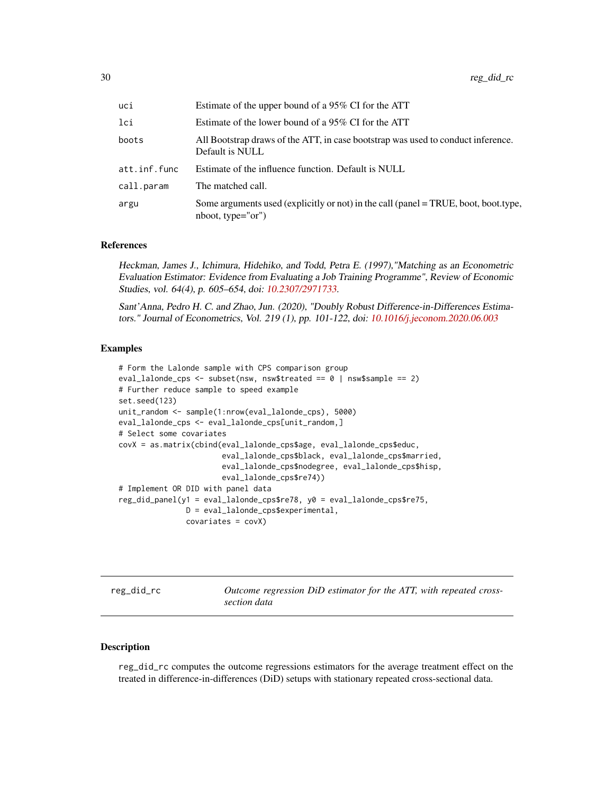<span id="page-29-0"></span>

| uci          | Estimate of the upper bound of a 95% CI for the ATT                                                        |
|--------------|------------------------------------------------------------------------------------------------------------|
| lci          | Estimate of the lower bound of a 95% CI for the ATT                                                        |
| boots        | All Bootstrap draws of the ATT, in case bootstrap was used to conduct inference.<br>Default is NULL        |
| att.inf.func | Estimate of the influence function. Default is NULL                                                        |
| call.param   | The matched call.                                                                                          |
| argu         | Some arguments used (explicitly or not) in the call (panel = TRUE, boot, boot.type,<br>$nboot, type="or")$ |

Heckman, James J., Ichimura, Hidehiko, and Todd, Petra E. (1997),"Matching as an Econometric Evaluation Estimator: Evidence from Evaluating a Job Training Programme", Review of Economic Studies, vol. 64(4), p. 605–654, doi: [10.2307/2971733.](https://doi.org/10.2307/2971733)

Sant'Anna, Pedro H. C. and Zhao, Jun. (2020), "Doubly Robust Difference-in-Differences Estimators." Journal of Econometrics, Vol. 219 (1), pp. 101-122, doi: [10.1016/j.jeconom.2020.06.003](https://doi.org/10.1016/j.jeconom.2020.06.003)

#### Examples

```
# Form the Lalonde sample with CPS comparison group
eval_lalonde_cps <- subset(nsw, nsw$treated == \theta | nsw$sample == 2)
# Further reduce sample to speed example
set.seed(123)
unit_random <- sample(1:nrow(eval_lalonde_cps), 5000)
eval_lalonde_cps <- eval_lalonde_cps[unit_random,]
# Select some covariates
covX = as.matrix(cbind(eval_lalonde_cps$age, eval_lalonde_cps$educ,
                       eval_lalonde_cps$black, eval_lalonde_cps$married,
                       eval_lalonde_cps$nodegree, eval_lalonde_cps$hisp,
                       eval_lalonde_cps$re74))
# Implement OR DID with panel data
reg_did_panel(y1 = eval_lalonde_cps$re78, y0 = eval_lalonde_cps$re75,
               D = eval_lalonde_cps$experimental,
               covariates = covX)
```
reg\_did\_rc *Outcome regression DiD estimator for the ATT, with repeated crosssection data*

#### Description

reg\_did\_rc computes the outcome regressions estimators for the average treatment effect on the treated in difference-in-differences (DiD) setups with stationary repeated cross-sectional data.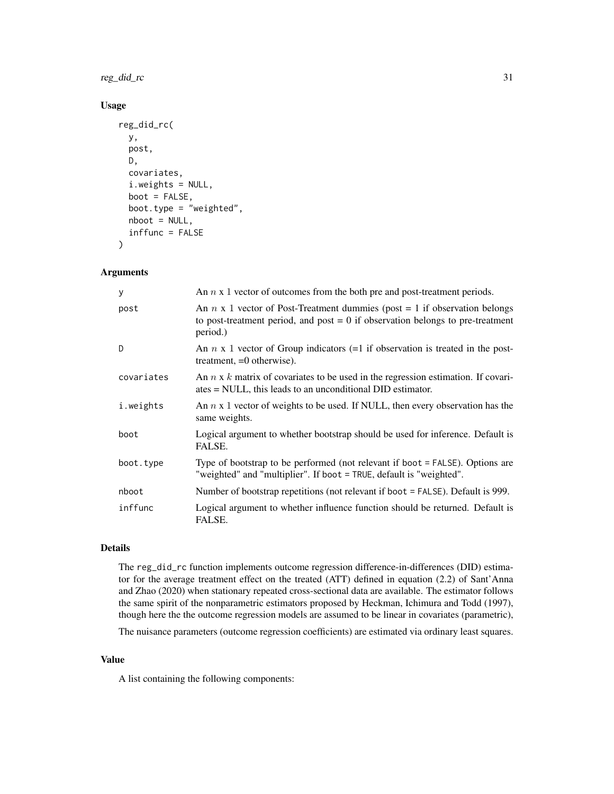reg\_did\_rc 31

## Usage

```
reg_did_rc(
 y,
 post,
 D,
 covariates,
  i.weights = NULL,
 boot = FALSE,
 boot.type = "weighted",
  nboot = NULL,inffunc = FALSE
)
```
## Arguments

| У          | An $n \times 1$ vector of outcomes from the both pre and post-treatment periods.                                                                                                   |
|------------|------------------------------------------------------------------------------------------------------------------------------------------------------------------------------------|
| post       | An $n \times 1$ vector of Post-Treatment dummies (post = 1 if observation belongs)<br>to post-treatment period, and post $= 0$ if observation belongs to pre-treatment<br>period.) |
| D.         | An $n \times 1$ vector of Group indicators (=1 if observation is treated in the post-<br>treatment, $=0$ otherwise).                                                               |
| covariates | An $n \times k$ matrix of covariates to be used in the regression estimation. If covari-<br>$ates = NULL$ , this leads to an unconditional DID estimator.                          |
| i.weights  | An $n \times 1$ vector of weights to be used. If NULL, then every observation has the<br>same weights.                                                                             |
| boot       | Logical argument to whether bootstrap should be used for inference. Default is<br>FALSE.                                                                                           |
| boot.type  | Type of bootstrap to be performed (not relevant if boot = FALSE). Options are<br>"weighted" and "multiplier". If boot = TRUE, default is "weighted".                               |
| nboot      | Number of bootstrap repetitions (not relevant if boot = FALSE). Default is 999.                                                                                                    |
| inffunc    | Logical argument to whether influence function should be returned. Default is<br>FALSE.                                                                                            |

## Details

The reg\_did\_rc function implements outcome regression difference-in-differences (DID) estimator for the average treatment effect on the treated (ATT) defined in equation (2.2) of Sant'Anna and Zhao (2020) when stationary repeated cross-sectional data are available. The estimator follows the same spirit of the nonparametric estimators proposed by Heckman, Ichimura and Todd (1997), though here the the outcome regression models are assumed to be linear in covariates (parametric),

The nuisance parameters (outcome regression coefficients) are estimated via ordinary least squares.

## Value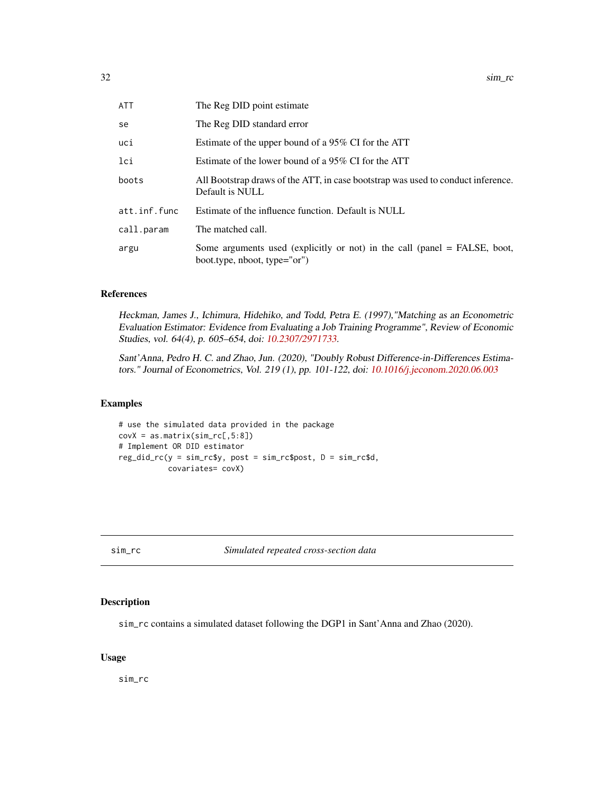<span id="page-31-0"></span>

| <b>ATT</b>   | The Reg DID point estimate                                                                                |
|--------------|-----------------------------------------------------------------------------------------------------------|
| se           | The Reg DID standard error                                                                                |
| uci          | Estimate of the upper bound of a 95% CI for the ATT                                                       |
| lci          | Estimate of the lower bound of a 95% CI for the ATT                                                       |
| boots        | All Bootstrap draws of the ATT, in case bootstrap was used to conduct inference.<br>Default is NULL       |
| att.inf.func | Estimate of the influence function. Default is NULL                                                       |
| call.param   | The matched call.                                                                                         |
| argu         | Some arguments used (explicitly or not) in the call (panel = FALSE, boot,<br>boot.type, nboot, type="or") |
|              |                                                                                                           |

Heckman, James J., Ichimura, Hidehiko, and Todd, Petra E. (1997),"Matching as an Econometric Evaluation Estimator: Evidence from Evaluating a Job Training Programme", Review of Economic Studies, vol. 64(4), p. 605–654, doi: [10.2307/2971733.](https://doi.org/10.2307/2971733)

Sant'Anna, Pedro H. C. and Zhao, Jun. (2020), "Doubly Robust Difference-in-Differences Estimators." Journal of Econometrics, Vol. 219 (1), pp. 101-122, doi: [10.1016/j.jeconom.2020.06.003](https://doi.org/10.1016/j.jeconom.2020.06.003)

## Examples

```
# use the simulated data provided in the package
covX = as_matrix(sim\_rc[, 5:8])# Implement OR DID estimator
reg_did_rc(y = sim_rc$y, post = sim_rc$post, D = sim_rc$d,
           covariates= covX)
```
sim\_rc *Simulated repeated cross-section data*

## Description

sim\_rc contains a simulated dataset following the DGP1 in Sant'Anna and Zhao (2020).

## Usage

sim\_rc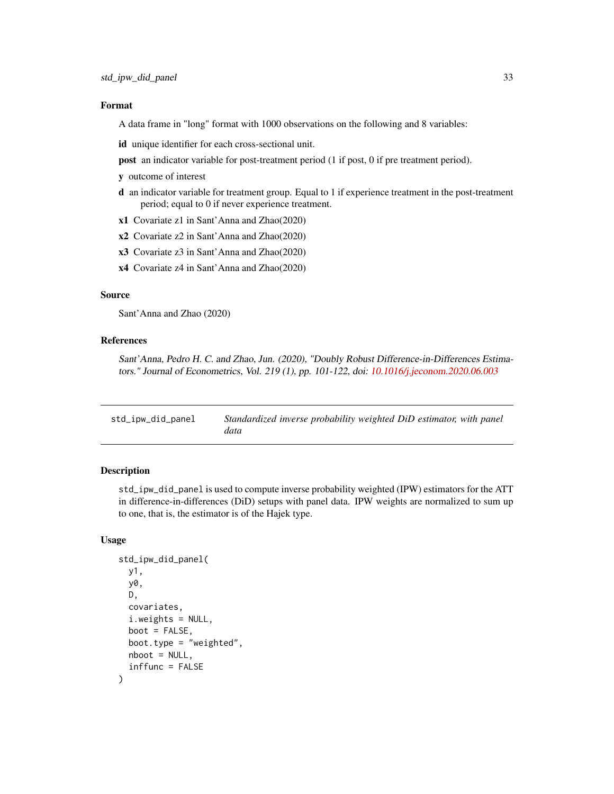#### <span id="page-32-0"></span>Format

A data frame in "long" format with 1000 observations on the following and 8 variables:

id unique identifier for each cross-sectional unit.

- post an indicator variable for post-treatment period (1 if post, 0 if pre treatment period).
- y outcome of interest
- d an indicator variable for treatment group. Equal to 1 if experience treatment in the post-treatment period; equal to 0 if never experience treatment.
- x1 Covariate z1 in Sant'Anna and Zhao(2020)
- x2 Covariate z2 in Sant'Anna and Zhao(2020)
- x3 Covariate z3 in Sant'Anna and Zhao(2020)
- x4 Covariate z4 in Sant'Anna and Zhao(2020)

#### Source

Sant'Anna and Zhao (2020)

### References

Sant'Anna, Pedro H. C. and Zhao, Jun. (2020), "Doubly Robust Difference-in-Differences Estimators." Journal of Econometrics, Vol. 219 (1), pp. 101-122, doi: [10.1016/j.jeconom.2020.06.003](https://doi.org/10.1016/j.jeconom.2020.06.003)

| std_ipw_did_panel | Standardized inverse probability weighted DiD estimator, with panel |
|-------------------|---------------------------------------------------------------------|
|                   | data                                                                |

### Description

std\_ipw\_did\_panel is used to compute inverse probability weighted (IPW) estimators for the ATT in difference-in-differences (DiD) setups with panel data. IPW weights are normalized to sum up to one, that is, the estimator is of the Hajek type.

#### Usage

```
std_ipw_did_panel(
 y1,
 y0,
  D,
  covariates,
  i.weights = NULL,
 boot = FALSE,
 boot.type = "weighted",
  nboot = NULL,inffunc = FALSE
)
```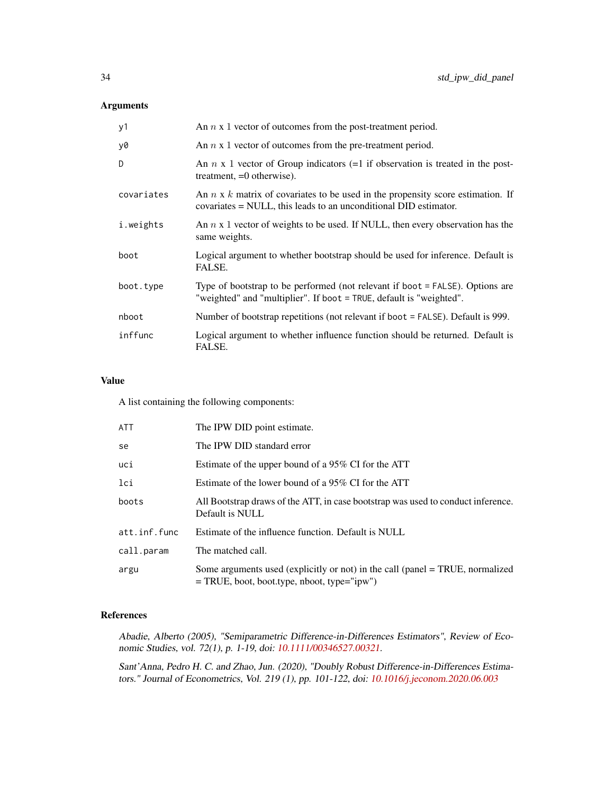## Arguments

| y1         | An $n \times 1$ vector of outcomes from the post-treatment period.                                                                                         |
|------------|------------------------------------------------------------------------------------------------------------------------------------------------------------|
| y0         | An $n \times 1$ vector of outcomes from the pre-treatment period.                                                                                          |
| D          | An $n \times 1$ vector of Group indicators (=1 if observation is treated in the post-<br>treatment, $=0$ otherwise).                                       |
| covariates | An $n \times k$ matrix of covariates to be used in the propensity score estimation. If<br>covariates = NULL, this leads to an unconditional DID estimator. |
| i.weights  | An $n \times 1$ vector of weights to be used. If NULL, then every observation has the<br>same weights.                                                     |
| boot       | Logical argument to whether bootstrap should be used for inference. Default is<br>FALSE.                                                                   |
| boot.type  | Type of bootstrap to be performed (not relevant if boot = FALSE). Options are<br>"weighted" and "multiplier". If boot = TRUE, default is "weighted".       |
| nboot      | Number of bootstrap repetitions (not relevant if boot = FALSE). Default is 999.                                                                            |
| inffunc    | Logical argument to whether influence function should be returned. Default is<br>FALSE.                                                                    |

## Value

A list containing the following components:

| ATT          | The IPW DID point estimate.                                                                                                    |
|--------------|--------------------------------------------------------------------------------------------------------------------------------|
| se           | The IPW DID standard error                                                                                                     |
| uci          | Estimate of the upper bound of a 95% CI for the ATT                                                                            |
| lci          | Estimate of the lower bound of a 95% CI for the ATT                                                                            |
| boots        | All Bootstrap draws of the ATT, in case bootstrap was used to conduct inference.<br>Default is NULL                            |
| att.inf.func | Estimate of the influence function. Default is NULL                                                                            |
| call.param   | The matched call.                                                                                                              |
| argu         | Some arguments used (explicitly or not) in the call (panel = TRUE, normalized<br>$=$ TRUE, boot, boot.type, nboot, type="ipw") |

## References

Abadie, Alberto (2005), "Semiparametric Difference-in-Differences Estimators", Review of Economic Studies, vol. 72(1), p. 1-19, doi: [10.1111/00346527.00321.](https://doi.org/10.1111/0034-6527.00321)

Sant'Anna, Pedro H. C. and Zhao, Jun. (2020), "Doubly Robust Difference-in-Differences Estimators." Journal of Econometrics, Vol. 219 (1), pp. 101-122, doi: [10.1016/j.jeconom.2020.06.003](https://doi.org/10.1016/j.jeconom.2020.06.003)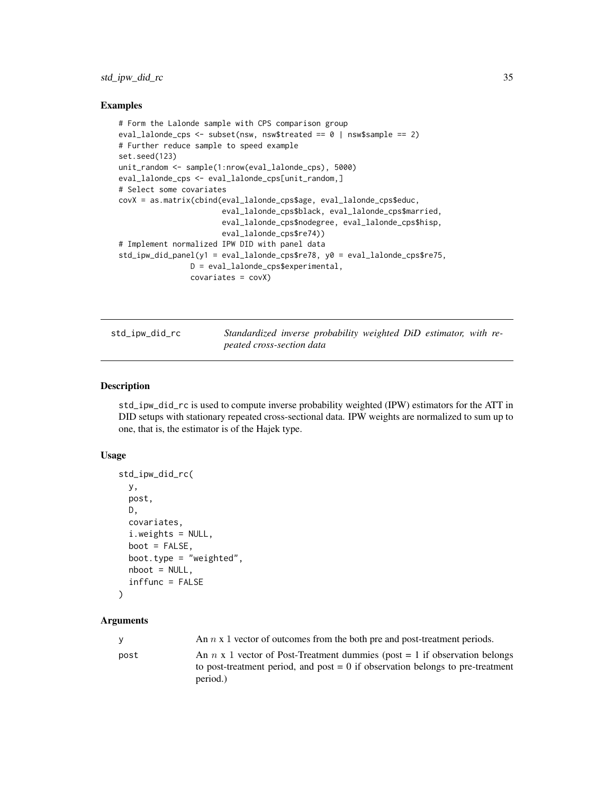## <span id="page-34-0"></span>std\_ipw\_did\_rc 35

#### Examples

```
# Form the Lalonde sample with CPS comparison group
eval_lalonde_cps <- subset(nsw, nsw$treated == \theta | nsw$sample == 2)
# Further reduce sample to speed example
set.seed(123)
unit_random <- sample(1:nrow(eval_lalonde_cps), 5000)
eval_lalonde_cps <- eval_lalonde_cps[unit_random,]
# Select some covariates
covX = as.matrix(cbind(eval_lalonde_cps$age, eval_lalonde_cps$educ,
                       eval_lalonde_cps$black, eval_lalonde_cps$married,
                       eval_lalonde_cps$nodegree, eval_lalonde_cps$hisp,
                       eval_lalonde_cps$re74))
# Implement normalized IPW DID with panel data
std_ipw_did_panel(y1 = eval_lalonde_cps$re78, y0 = eval_lalonde_cps$re75,
                D = eval_lalonde_cps$experimental,
                covariates = covX)
```
std\_ipw\_did\_rc *Standardized inverse probability weighted DiD estimator, with repeated cross-section data*

## **Description**

std\_ipw\_did\_rc is used to compute inverse probability weighted (IPW) estimators for the ATT in DID setups with stationary repeated cross-sectional data. IPW weights are normalized to sum up to one, that is, the estimator is of the Hajek type.

#### Usage

```
std_ipw_did_rc(
 y,
 post,
 D,
  covariates,
  i.weights = NULL,
 boot = FALSE,
 boot.type = "weighted",
 nboot = NULL,
  inffunc = FALSE
```

```
)
```
## Arguments

| <b>V</b> | An $n \times 1$ vector of outcomes from the both pre and post-treatment periods.                                                                                      |
|----------|-----------------------------------------------------------------------------------------------------------------------------------------------------------------------|
| post     | An $n \times 1$ vector of Post-Treatment dummies (post = 1 if observation belongs<br>to post-treatment period, and post $= 0$ if observation belongs to pre-treatment |
|          | period.)                                                                                                                                                              |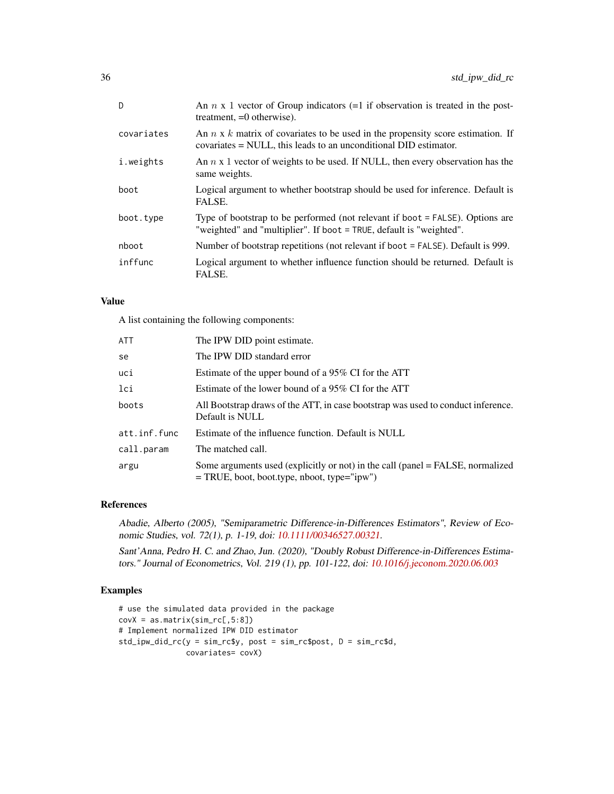| D          | An $n \times 1$ vector of Group indicators (=1 if observation is treated in the post-<br>treatment, $=0$ otherwise).                                       |
|------------|------------------------------------------------------------------------------------------------------------------------------------------------------------|
| covariates | An $n \times k$ matrix of covariates to be used in the propensity score estimation. If<br>covariates = NULL, this leads to an unconditional DID estimator. |
| i.weights  | An $n \times 1$ vector of weights to be used. If NULL, then every observation has the<br>same weights.                                                     |
| boot       | Logical argument to whether bootstrap should be used for inference. Default is<br>FALSE.                                                                   |
| boot.type  | Type of bootstrap to be performed (not relevant if boot = FALSE). Options are<br>"weighted" and "multiplier". If boot = TRUE, default is "weighted".       |
| nboot      | Number of bootstrap repetitions (not relevant if boot = FALSE). Default is 999.                                                                            |
| inffunc    | Logical argument to whether influence function should be returned. Default is<br>FALSE.                                                                    |

### Value

A list containing the following components:

| <b>ATT</b>   | The IPW DID point estimate.                                                                                                     |
|--------------|---------------------------------------------------------------------------------------------------------------------------------|
| se           | The IPW DID standard error                                                                                                      |
| uci          | Estimate of the upper bound of a 95% CI for the ATT                                                                             |
| lci          | Estimate of the lower bound of a 95% CI for the ATT                                                                             |
| boots        | All Bootstrap draws of the ATT, in case bootstrap was used to conduct inference.<br>Default is NULL                             |
| att.inf.func | Estimate of the influence function. Default is NULL                                                                             |
| call.param   | The matched call.                                                                                                               |
| argu         | Some arguments used (explicitly or not) in the call (panel = FALSE, normalized<br>$=$ TRUE, boot, boot.type, nboot, type="ipw") |

## References

Abadie, Alberto (2005), "Semiparametric Difference-in-Differences Estimators", Review of Economic Studies, vol. 72(1), p. 1-19, doi: [10.1111/00346527.00321.](https://doi.org/10.1111/0034-6527.00321)

Sant'Anna, Pedro H. C. and Zhao, Jun. (2020), "Doubly Robust Difference-in-Differences Estimators." Journal of Econometrics, Vol. 219 (1), pp. 101-122, doi: [10.1016/j.jeconom.2020.06.003](https://doi.org/10.1016/j.jeconom.2020.06.003)

## Examples

```
# use the simulated data provided in the package
covX = as.matrix(sin\_rc[, 5:8])# Implement normalized IPW DID estimator
std_ipw_did_rc(y = sim_rc$y, post = sim_rc$post, D = sim_rc$d,
               covariates= covX)
```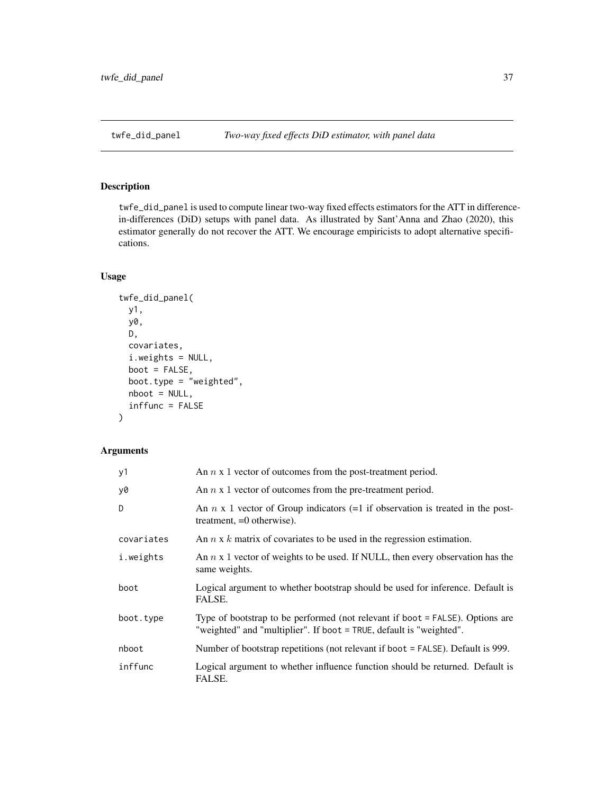<span id="page-36-0"></span>

## Description

twfe\_did\_panel is used to compute linear two-way fixed effects estimators for the ATT in differencein-differences (DiD) setups with panel data. As illustrated by Sant'Anna and Zhao (2020), this estimator generally do not recover the ATT. We encourage empiricists to adopt alternative specifications.

## Usage

```
twfe_did_panel(
 y1,
  y0,
 D,
  covariates,
  i.weights = NULL,
  boot = FALSE,
  boot.type = "weighted",
  nboot = NULL,inffunc = FALSE
\mathcal{L}
```
## Arguments

| y1         | An $n \times 1$ vector of outcomes from the post-treatment period.                                                                                   |
|------------|------------------------------------------------------------------------------------------------------------------------------------------------------|
| y0         | An $n \times 1$ vector of outcomes from the pre-treatment period.                                                                                    |
| D          | An $n \times 1$ vector of Group indicators (=1 if observation is treated in the post-<br>treatment, $=0$ otherwise).                                 |
| covariates | An $n \times k$ matrix of covariates to be used in the regression estimation.                                                                        |
| i.weights  | An $n \times 1$ vector of weights to be used. If NULL, then every observation has the<br>same weights.                                               |
| boot       | Logical argument to whether bootstrap should be used for inference. Default is<br>FALSE.                                                             |
| boot.type  | Type of bootstrap to be performed (not relevant if boot = FALSE). Options are<br>"weighted" and "multiplier". If boot = TRUE, default is "weighted". |
| nboot      | Number of bootstrap repetitions (not relevant if boot = FALSE). Default is 999.                                                                      |
| inffunc    | Logical argument to whether influence function should be returned. Default is<br>FALSE.                                                              |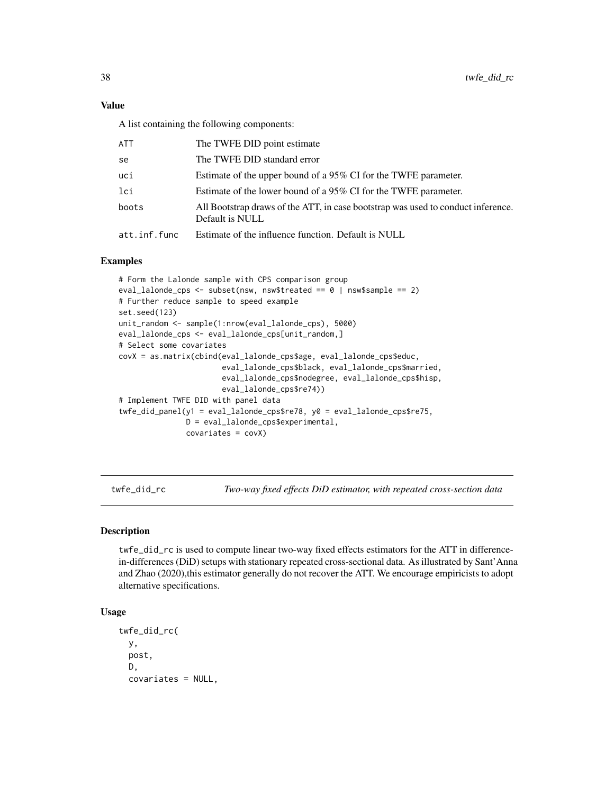<span id="page-37-0"></span>A list containing the following components:

| ATT          | The TWFE DID point estimate                                                                         |
|--------------|-----------------------------------------------------------------------------------------------------|
| se           | The TWFE DID standard error                                                                         |
| uci          | Estimate of the upper bound of a 95% CI for the TWFE parameter.                                     |
| lci          | Estimate of the lower bound of a 95% CI for the TWFE parameter.                                     |
| boots        | All Bootstrap draws of the ATT, in case bootstrap was used to conduct inference.<br>Default is NULL |
| att.inf.func | Estimate of the influence function. Default is NULL                                                 |

#### Examples

```
# Form the Lalonde sample with CPS comparison group
eval_lalonde_cps <- subset(nsw, nsw$treated == 0 | nsw$sample == 2)
# Further reduce sample to speed example
set.seed(123)
unit_random <- sample(1:nrow(eval_lalonde_cps), 5000)
eval_lalonde_cps <- eval_lalonde_cps[unit_random,]
# Select some covariates
covX = as.matrix(cbind(eval_lalonde_cps$age, eval_lalonde_cps$educ,
                       eval_lalonde_cps$black, eval_lalonde_cps$married,
                       eval_lalonde_cps$nodegree, eval_lalonde_cps$hisp,
                       eval_lalonde_cps$re74))
# Implement TWFE DID with panel data
twfe_did_panel(y1 = eval_lalonde_cps$re78, y0 = eval_lalonde_cps$re75,
               D = eval_lalonde_cps$experimental,
               covariates = covX)
```
twfe\_did\_rc *Two-way fixed effects DiD estimator, with repeated cross-section data*

#### Description

twfe\_did\_rc is used to compute linear two-way fixed effects estimators for the ATT in differencein-differences (DiD) setups with stationary repeated cross-sectional data. As illustrated by Sant'Anna and Zhao (2020),this estimator generally do not recover the ATT. We encourage empiricists to adopt alternative specifications.

## Usage

```
twfe_did_rc(
 y,
 post,
 D,
  covariates = NULL,
```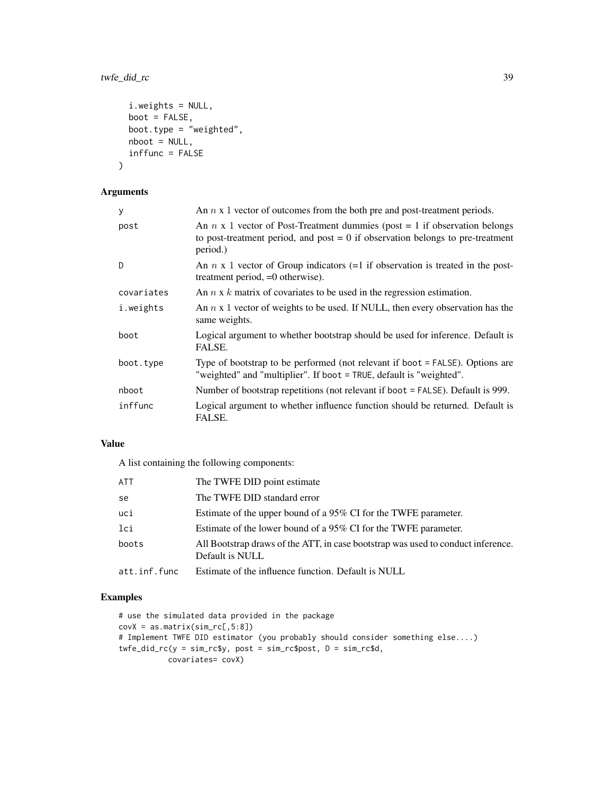## twfe\_did\_rc 39

```
i.weights = NULL,
 boot = FALSE,
 boot.type = "weighted",nboot = NULL,
 inffunc = FALSE
)
```
## Arguments

| У          | An $n \times 1$ vector of outcomes from the both pre and post-treatment periods.                                                                                                  |
|------------|-----------------------------------------------------------------------------------------------------------------------------------------------------------------------------------|
| post       | An $n \times 1$ vector of Post-Treatment dummies (post = 1 if observation belongs<br>to post-treatment period, and post $= 0$ if observation belongs to pre-treatment<br>period.) |
| D.         | An $n \times 1$ vector of Group indicators (=1 if observation is treated in the post-<br>treatment period, =0 otherwise).                                                         |
| covariates | An $n \times k$ matrix of covariates to be used in the regression estimation.                                                                                                     |
| i.weights  | An $n \times 1$ vector of weights to be used. If NULL, then every observation has the<br>same weights.                                                                            |
| boot       | Logical argument to whether bootstrap should be used for inference. Default is<br>FALSE.                                                                                          |
| boot.type  | Type of bootstrap to be performed (not relevant if boot = FALSE). Options are<br>"weighted" and "multiplier". If boot = TRUE, default is "weighted".                              |
| nboot      | Number of bootstrap repetitions (not relevant if boot = FALSE). Default is 999.                                                                                                   |
| inffunc    | Logical argument to whether influence function should be returned. Default is<br>FALSE.                                                                                           |

## Value

A list containing the following components:

| <b>ATT</b>   | The TWFE DID point estimate                                                                         |
|--------------|-----------------------------------------------------------------------------------------------------|
| se           | The TWFE DID standard error                                                                         |
| uci          | Estimate of the upper bound of a 95% CI for the TWFE parameter.                                     |
| lci          | Estimate of the lower bound of a 95% CI for the TWFE parameter.                                     |
| boots        | All Bootstrap draws of the ATT, in case bootstrap was used to conduct inference.<br>Default is NULL |
| att.inf.func | Estimate of the influence function. Default is NULL                                                 |

## Examples

```
# use the simulated data provided in the package
covX = as.matrix(sin\_rc[, 5:8])# Implement TWFE DID estimator (you probably should consider something else....)
twfe_did_rc(y = sim_rc$y, post = sim_rc$post, D = sim_rc$d,
          covariates= covX)
```